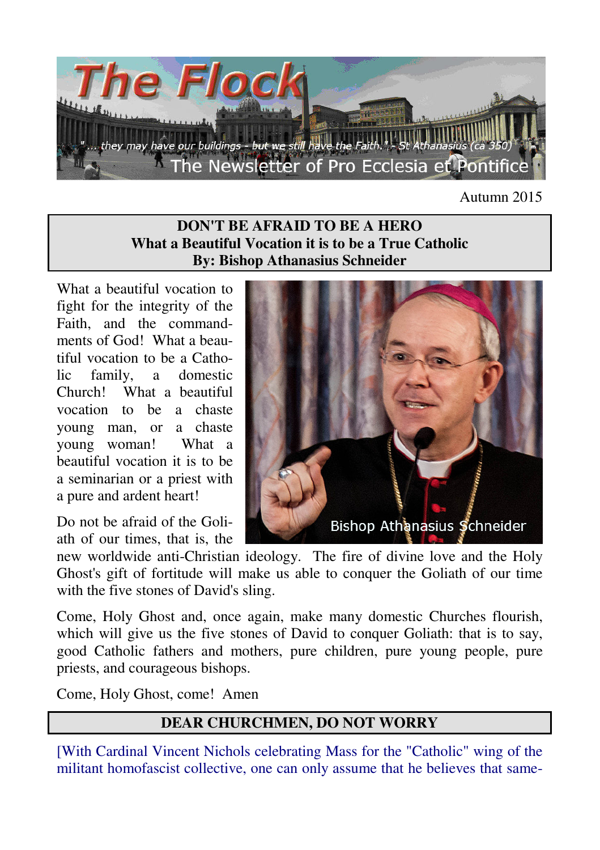

Autumn 2015

### **DON'T BE AFRAID TO BE A HERO What a Beautiful Vocation it is to be a True Catholic By: Bishop Athanasius Schneider**

What a beautiful vocation to fight for the integrity of the Faith, and the commandments of God! What a beautiful vocation to be a Catholic family, a domestic Church! What a beautiful vocation to be a chaste young man, or a chaste young woman! What a beautiful vocation it is to be a seminarian or a priest with a pure and ardent heart!

Do not be afraid of the Goliath of our times, that is, the



new worldwide anti-Christian ideology. The fire of divine love and the Holy Ghost's gift of fortitude will make us able to conquer the Goliath of our time with the five stones of David's sling.

Come, Holy Ghost and, once again, make many domestic Churches flourish, which will give us the five stones of David to conquer Goliath: that is to say, good Catholic fathers and mothers, pure children, pure young people, pure priests, and courageous bishops.

Come, Holy Ghost, come! Amen

# **DEAR CHURCHMEN, DO NOT WORRY**

[With Cardinal Vincent Nichols celebrating Mass for the "Catholic" wing of the militant homofascist collective, one can only assume that he believes that same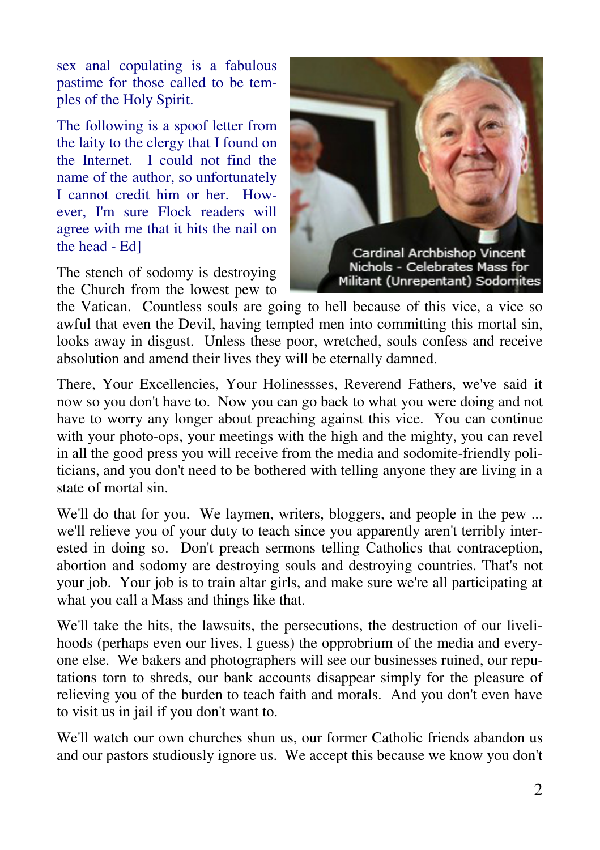sex anal copulating is a fabulous pastime for those called to be temples of the Holy Spirit.

The following is a spoof letter from the laity to the clergy that I found on the Internet. I could not find the name of the author, so unfortunately I cannot credit him or her. However, I'm sure Flock readers will agree with me that it hits the nail on the head - Ed]

The stench of sodomy is destroying the Church from the lowest pew to



the Vatican. Countless souls are going to hell because of this vice, a vice so awful that even the Devil, having tempted men into committing this mortal sin, looks away in disgust. Unless these poor, wretched, souls confess and receive absolution and amend their lives they will be eternally damned.

There, Your Excellencies, Your Holinessses, Reverend Fathers, we've said it now so you don't have to. Now you can go back to what you were doing and not have to worry any longer about preaching against this vice. You can continue with your photo-ops, your meetings with the high and the mighty, you can revel in all the good press you will receive from the media and sodomite-friendly politicians, and you don't need to be bothered with telling anyone they are living in a state of mortal sin.

We'll do that for you. We laymen, writers, bloggers, and people in the pew ... we'll relieve you of your duty to teach since you apparently aren't terribly interested in doing so. Don't preach sermons telling Catholics that contraception, abortion and sodomy are destroying souls and destroying countries. That's not your job. Your job is to train altar girls, and make sure we're all participating at what you call a Mass and things like that.

We'll take the hits, the lawsuits, the persecutions, the destruction of our livelihoods (perhaps even our lives, I guess) the opprobrium of the media and everyone else. We bakers and photographers will see our businesses ruined, our reputations torn to shreds, our bank accounts disappear simply for the pleasure of relieving you of the burden to teach faith and morals. And you don't even have to visit us in jail if you don't want to.

We'll watch our own churches shun us, our former Catholic friends abandon us and our pastors studiously ignore us. We accept this because we know you don't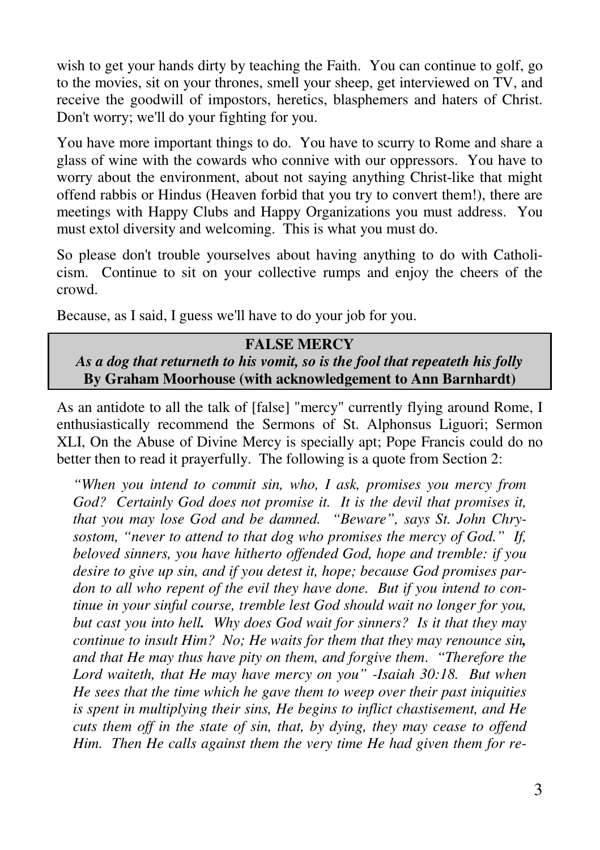wish to get your hands dirty by teaching the Faith. You can continue to golf, go to the movies, sit on your thrones, smell your sheep, get interviewed on TV, and receive the goodwill of impostors, heretics, blasphemers and haters of Christ. Don't worry; we'll do your fighting for you.

You have more important things to do. You have to scurry to Rome and share a glass of wine with the cowards who connive with our oppressors. You have to worry about the environment, about not saying anything Christ-like that might offend rabbis or Hindus (Heaven forbid that you try to convert them!), there are meetings with Happy Clubs and Happy Organizations you must address. You must extol diversity and welcoming. This is what you must do.

So please don't trouble yourselves about having anything to do with Catholicism. Continue to sit on your collective rumps and enjoy the cheers of the crowd.

Because, as I said, I guess we'll have to do your job for you.

#### **FALSE MERCY**

*As a dog that returneth to his vomit, so is the fool that repeateth his folly* **By Graham Moorhouse (with acknowledgement to Ann Barnhardt)** 

As an antidote to all the talk of [false] "mercy" currently flying around Rome, I enthusiastically recommend the Sermons of St. Alphonsus Liguori; Sermon XLI, On the Abuse of Divine Mercy is specially apt; Pope Francis could do no better then to read it prayerfully. The following is a quote from Section 2:

*"When you intend to commit sin, who, I ask, promises you mercy from God? Certainly God does not promise it. It is the devil that promises it, that you may lose God and be damned. "Beware", says St. John Chrysostom, "never to attend to that dog who promises the mercy of God." If, beloved sinners, you have hitherto offended God, hope and tremble: if you desire to give up sin, and if you detest it, hope; because God promises pardon to all who repent of the evil they have done. But if you intend to continue in your sinful course, tremble lest God should wait no longer for you, but cast you into hell. Why does God wait for sinners? Is it that they may continue to insult Him? No; He waits for them that they may renounce sin, and that He may thus have pity on them, and forgive them*. *"Therefore the Lord waiteth, that He may have mercy on you" -Isaiah 30:18. But when He sees that the time which he gave them to weep over their past iniquities is spent in multiplying their sins, He begins to inflict chastisement, and He cuts them off in the state of sin, that, by dying, they may cease to offend Him. Then He calls against them the very time He had given them for re-*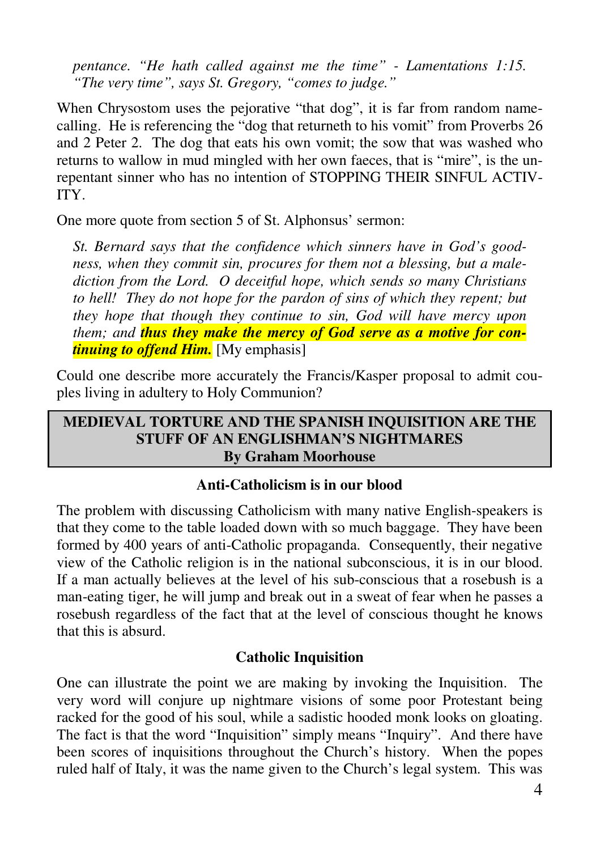*pentance. "He hath called against me the time" - Lamentations 1:15. "The very time", says St. Gregory, "comes to judge."* 

When Chrysostom uses the pejorative "that dog", it is far from random namecalling. He is referencing the "dog that returneth to his vomit" from Proverbs 26 and 2 Peter 2. The dog that eats his own vomit; the sow that was washed who returns to wallow in mud mingled with her own faeces, that is "mire", is the unrepentant sinner who has no intention of STOPPING THEIR SINFUL ACTIV-ITY.

One more quote from section 5 of St. Alphonsus' sermon:

*St. Bernard says that the confidence which sinners have in God's goodness, when they commit sin, procures for them not a blessing, but a malediction from the Lord. O deceitful hope, which sends so many Christians to hell! They do not hope for the pardon of sins of which they repent; but they hope that though they continue to sin, God will have mercy upon them; and thus they make the mercy of God serve as a motive for continuing to offend Him.* [My emphasis]

Could one describe more accurately the Francis/Kasper proposal to admit couples living in adultery to Holy Communion?

#### **MEDIEVAL TORTURE AND THE SPANISH INQUISITION ARE THE STUFF OF AN ENGLISHMAN'S NIGHTMARES By Graham Moorhouse**

### **Anti-Catholicism is in our blood**

The problem with discussing Catholicism with many native English-speakers is that they come to the table loaded down with so much baggage. They have been formed by 400 years of anti-Catholic propaganda. Consequently, their negative view of the Catholic religion is in the national subconscious, it is in our blood. If a man actually believes at the level of his sub-conscious that a rosebush is a man-eating tiger, he will jump and break out in a sweat of fear when he passes a rosebush regardless of the fact that at the level of conscious thought he knows that this is absurd.

### **Catholic Inquisition**

One can illustrate the point we are making by invoking the Inquisition. The very word will conjure up nightmare visions of some poor Protestant being racked for the good of his soul, while a sadistic hooded monk looks on gloating. The fact is that the word "Inquisition" simply means "Inquiry". And there have been scores of inquisitions throughout the Church's history. When the popes ruled half of Italy, it was the name given to the Church's legal system. This was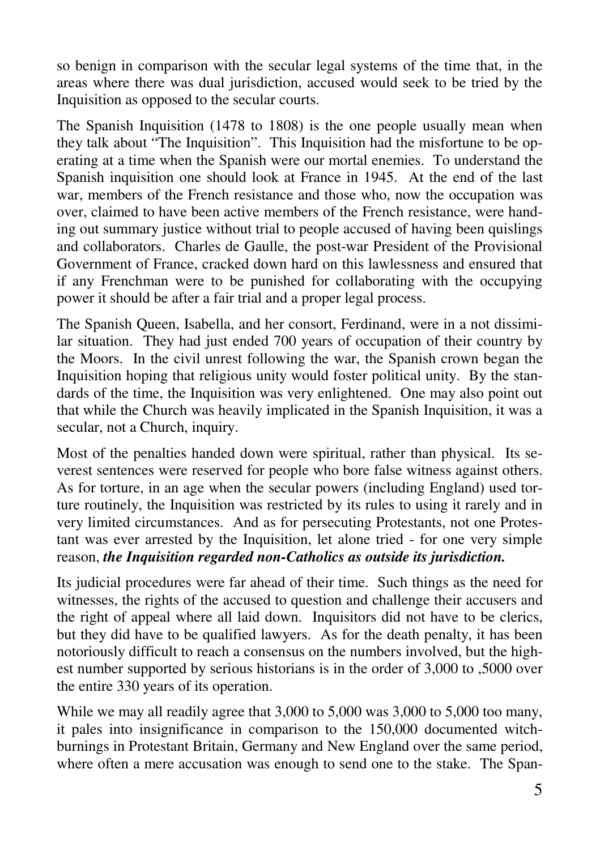so benign in comparison with the secular legal systems of the time that, in the areas where there was dual jurisdiction, accused would seek to be tried by the Inquisition as opposed to the secular courts.

The Spanish Inquisition (1478 to 1808) is the one people usually mean when they talk about "The Inquisition". This Inquisition had the misfortune to be operating at a time when the Spanish were our mortal enemies. To understand the Spanish inquisition one should look at France in 1945. At the end of the last war, members of the French resistance and those who, now the occupation was over, claimed to have been active members of the French resistance, were handing out summary justice without trial to people accused of having been quislings and collaborators. Charles de Gaulle, the post-war President of the Provisional Government of France, cracked down hard on this lawlessness and ensured that if any Frenchman were to be punished for collaborating with the occupying power it should be after a fair trial and a proper legal process.

The Spanish Queen, Isabella, and her consort, Ferdinand, were in a not dissimilar situation. They had just ended 700 years of occupation of their country by the Moors. In the civil unrest following the war, the Spanish crown began the Inquisition hoping that religious unity would foster political unity. By the standards of the time, the Inquisition was very enlightened. One may also point out that while the Church was heavily implicated in the Spanish Inquisition, it was a secular, not a Church, inquiry.

Most of the penalties handed down were spiritual, rather than physical. Its severest sentences were reserved for people who bore false witness against others. As for torture, in an age when the secular powers (including England) used torture routinely, the Inquisition was restricted by its rules to using it rarely and in very limited circumstances. And as for persecuting Protestants, not one Protestant was ever arrested by the Inquisition, let alone tried - for one very simple reason, *the Inquisition regarded non-Catholics as outside its jurisdiction.* 

Its judicial procedures were far ahead of their time. Such things as the need for witnesses, the rights of the accused to question and challenge their accusers and the right of appeal where all laid down. Inquisitors did not have to be clerics, but they did have to be qualified lawyers. As for the death penalty, it has been notoriously difficult to reach a consensus on the numbers involved, but the highest number supported by serious historians is in the order of 3,000 to ,5000 over the entire 330 years of its operation.

While we may all readily agree that 3,000 to 5,000 was 3,000 to 5,000 too many, it pales into insignificance in comparison to the 150,000 documented witchburnings in Protestant Britain, Germany and New England over the same period, where often a mere accusation was enough to send one to the stake. The Span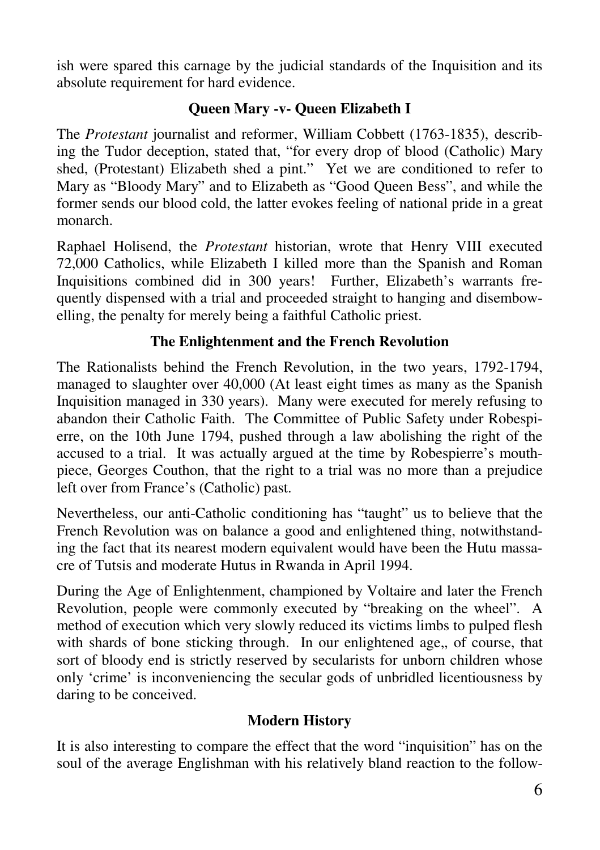ish were spared this carnage by the judicial standards of the Inquisition and its absolute requirement for hard evidence.

# **Queen Mary -v- Queen Elizabeth I**

The *Protestant* journalist and reformer, William Cobbett (1763-1835), describing the Tudor deception, stated that, "for every drop of blood (Catholic) Mary shed, (Protestant) Elizabeth shed a pint." Yet we are conditioned to refer to Mary as "Bloody Mary" and to Elizabeth as "Good Queen Bess", and while the former sends our blood cold, the latter evokes feeling of national pride in a great monarch.

Raphael Holisend, the *Protestant* historian, wrote that Henry VIII executed 72,000 Catholics, while Elizabeth I killed more than the Spanish and Roman Inquisitions combined did in 300 years! Further, Elizabeth's warrants frequently dispensed with a trial and proceeded straight to hanging and disembowelling, the penalty for merely being a faithful Catholic priest.

# **The Enlightenment and the French Revolution**

The Rationalists behind the French Revolution, in the two years, 1792-1794, managed to slaughter over 40,000 (At least eight times as many as the Spanish Inquisition managed in 330 years). Many were executed for merely refusing to abandon their Catholic Faith. The Committee of Public Safety under Robespierre, on the 10th June 1794, pushed through a law abolishing the right of the accused to a trial. It was actually argued at the time by Robespierre's mouthpiece, Georges Couthon, that the right to a trial was no more than a prejudice left over from France's (Catholic) past.

Nevertheless, our anti-Catholic conditioning has "taught" us to believe that the French Revolution was on balance a good and enlightened thing, notwithstanding the fact that its nearest modern equivalent would have been the Hutu massacre of Tutsis and moderate Hutus in Rwanda in April 1994.

During the Age of Enlightenment, championed by Voltaire and later the French Revolution, people were commonly executed by "breaking on the wheel". A method of execution which very slowly reduced its victims limbs to pulped flesh with shards of bone sticking through. In our enlightened age,, of course, that sort of bloody end is strictly reserved by secularists for unborn children whose only 'crime' is inconveniencing the secular gods of unbridled licentiousness by daring to be conceived.

## **Modern History**

It is also interesting to compare the effect that the word "inquisition" has on the soul of the average Englishman with his relatively bland reaction to the follow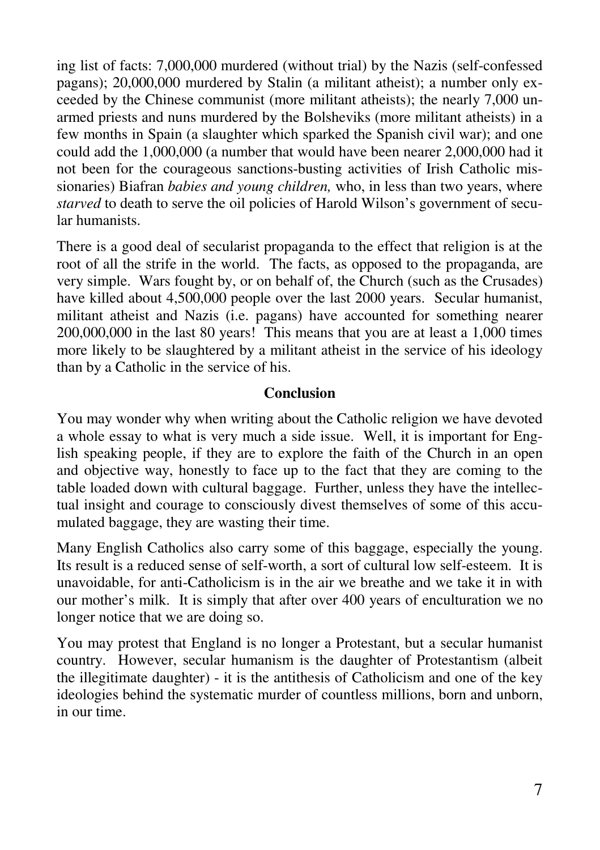ing list of facts: 7,000,000 murdered (without trial) by the Nazis (self-confessed pagans); 20,000,000 murdered by Stalin (a militant atheist); a number only exceeded by the Chinese communist (more militant atheists); the nearly 7,000 unarmed priests and nuns murdered by the Bolsheviks (more militant atheists) in a few months in Spain (a slaughter which sparked the Spanish civil war); and one could add the 1,000,000 (a number that would have been nearer 2,000,000 had it not been for the courageous sanctions-busting activities of Irish Catholic missionaries) Biafran *babies and young children,* who, in less than two years, where *starved* to death to serve the oil policies of Harold Wilson's government of secular humanists.

There is a good deal of secularist propaganda to the effect that religion is at the root of all the strife in the world. The facts, as opposed to the propaganda, are very simple. Wars fought by, or on behalf of, the Church (such as the Crusades) have killed about 4,500,000 people over the last 2000 years. Secular humanist, militant atheist and Nazis (i.e. pagans) have accounted for something nearer 200,000,000 in the last 80 years! This means that you are at least a 1,000 times more likely to be slaughtered by a militant atheist in the service of his ideology than by a Catholic in the service of his.

#### **Conclusion**

You may wonder why when writing about the Catholic religion we have devoted a whole essay to what is very much a side issue. Well, it is important for English speaking people, if they are to explore the faith of the Church in an open and objective way, honestly to face up to the fact that they are coming to the table loaded down with cultural baggage. Further, unless they have the intellectual insight and courage to consciously divest themselves of some of this accumulated baggage, they are wasting their time.

Many English Catholics also carry some of this baggage, especially the young. Its result is a reduced sense of self-worth, a sort of cultural low self-esteem. It is unavoidable, for anti-Catholicism is in the air we breathe and we take it in with our mother's milk. It is simply that after over 400 years of enculturation we no longer notice that we are doing so.

You may protest that England is no longer a Protestant, but a secular humanist country. However, secular humanism is the daughter of Protestantism (albeit the illegitimate daughter) - it is the antithesis of Catholicism and one of the key ideologies behind the systematic murder of countless millions, born and unborn, in our time.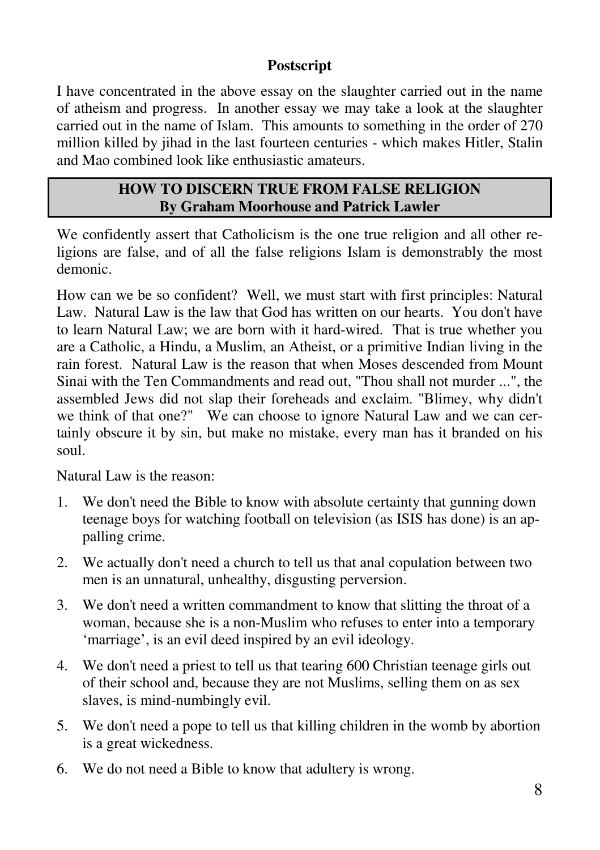## **Postscript**

I have concentrated in the above essay on the slaughter carried out in the name of atheism and progress. In another essay we may take a look at the slaughter carried out in the name of Islam. This amounts to something in the order of 270 million killed by jihad in the last fourteen centuries - which makes Hitler, Stalin and Mao combined look like enthusiastic amateurs.

### **HOW TO DISCERN TRUE FROM FALSE RELIGION By Graham Moorhouse and Patrick Lawler**

We confidently assert that Catholicism is the one true religion and all other religions are false, and of all the false religions Islam is demonstrably the most demonic.

How can we be so confident? Well, we must start with first principles: Natural Law. Natural Law is the law that God has written on our hearts. You don't have to learn Natural Law; we are born with it hard-wired. That is true whether you are a Catholic, a Hindu, a Muslim, an Atheist, or a primitive Indian living in the rain forest. Natural Law is the reason that when Moses descended from Mount Sinai with the Ten Commandments and read out, "Thou shall not murder ...", the assembled Jews did not slap their foreheads and exclaim. "Blimey, why didn't we think of that one?" We can choose to ignore Natural Law and we can certainly obscure it by sin, but make no mistake, every man has it branded on his soul.

Natural Law is the reason:

- 1. We don't need the Bible to know with absolute certainty that gunning down teenage boys for watching football on television (as ISIS has done) is an appalling crime.
- 2. We actually don't need a church to tell us that anal copulation between two men is an unnatural, unhealthy, disgusting perversion.
- 3. We don't need a written commandment to know that slitting the throat of a woman, because she is a non-Muslim who refuses to enter into a temporary 'marriage', is an evil deed inspired by an evil ideology.
- 4. We don't need a priest to tell us that tearing 600 Christian teenage girls out of their school and, because they are not Muslims, selling them on as sex slaves, is mind-numbingly evil.
- 5. We don't need a pope to tell us that killing children in the womb by abortion is a great wickedness.
- 6. We do not need a Bible to know that adultery is wrong.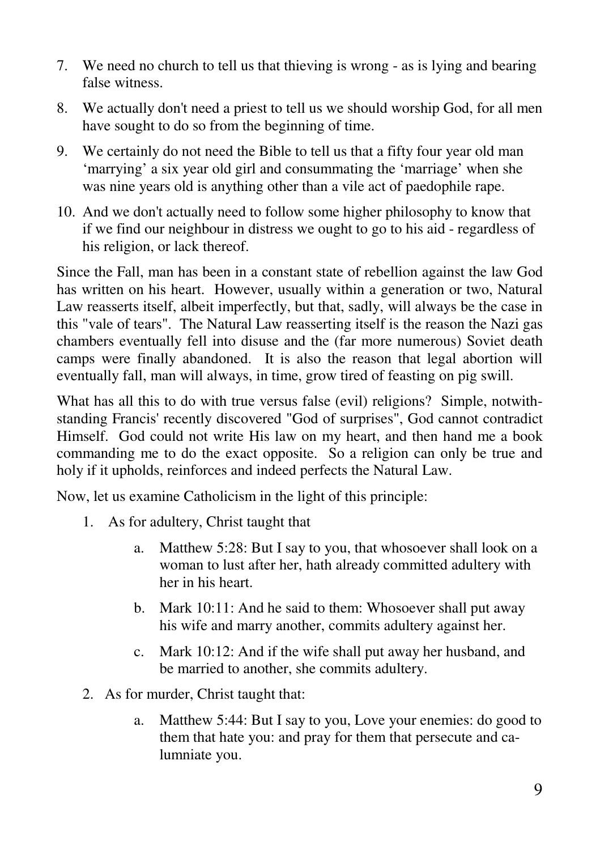- 7. We need no church to tell us that thieving is wrong as is lying and bearing false witness.
- 8. We actually don't need a priest to tell us we should worship God, for all men have sought to do so from the beginning of time.
- 9. We certainly do not need the Bible to tell us that a fifty four year old man 'marrying' a six year old girl and consummating the 'marriage' when she was nine years old is anything other than a vile act of paedophile rape.
- 10. And we don't actually need to follow some higher philosophy to know that if we find our neighbour in distress we ought to go to his aid - regardless of his religion, or lack thereof.

Since the Fall, man has been in a constant state of rebellion against the law God has written on his heart. However, usually within a generation or two, Natural Law reasserts itself, albeit imperfectly, but that, sadly, will always be the case in this "vale of tears". The Natural Law reasserting itself is the reason the Nazi gas chambers eventually fell into disuse and the (far more numerous) Soviet death camps were finally abandoned. It is also the reason that legal abortion will eventually fall, man will always, in time, grow tired of feasting on pig swill.

What has all this to do with true versus false (evil) religions? Simple, notwithstanding Francis' recently discovered "God of surprises", God cannot contradict Himself. God could not write His law on my heart, and then hand me a book commanding me to do the exact opposite. So a religion can only be true and holy if it upholds, reinforces and indeed perfects the Natural Law.

Now, let us examine Catholicism in the light of this principle:

- 1. As for adultery, Christ taught that
	- a. Matthew 5:28: But I say to you, that whosoever shall look on a woman to lust after her, hath already committed adultery with her in his heart.
	- b. Mark 10:11: And he said to them: Whosoever shall put away his wife and marry another, commits adultery against her.
	- c. Mark 10:12: And if the wife shall put away her husband, and be married to another, she commits adultery.
- 2. As for murder, Christ taught that:
	- a. Matthew 5:44: But I say to you, Love your enemies: do good to them that hate you: and pray for them that persecute and calumniate you.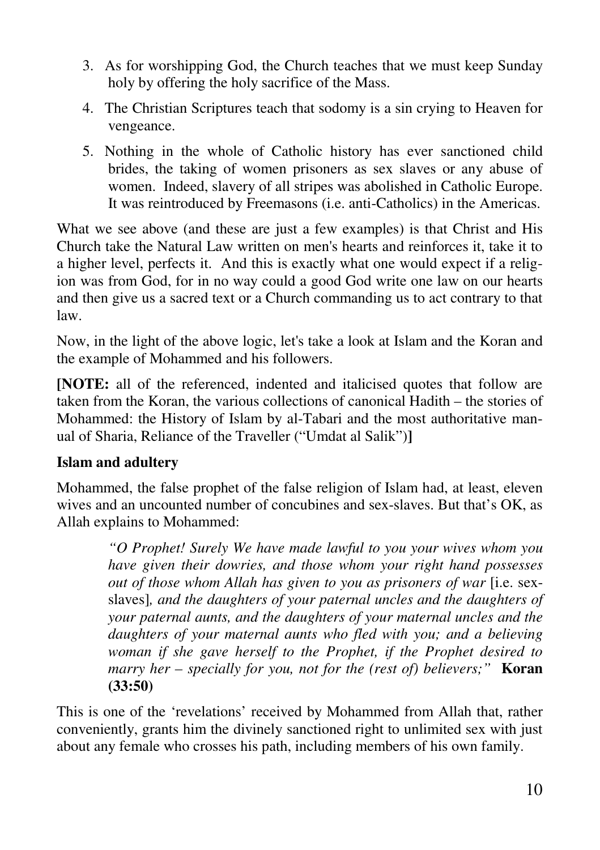- 3. As for worshipping God, the Church teaches that we must keep Sunday holy by offering the holy sacrifice of the Mass.
- 4. The Christian Scriptures teach that sodomy is a sin crying to Heaven for vengeance.
- 5. Nothing in the whole of Catholic history has ever sanctioned child brides, the taking of women prisoners as sex slaves or any abuse of women. Indeed, slavery of all stripes was abolished in Catholic Europe. It was reintroduced by Freemasons (i.e. anti-Catholics) in the Americas.

What we see above (and these are just a few examples) is that Christ and His Church take the Natural Law written on men's hearts and reinforces it, take it to a higher level, perfects it. And this is exactly what one would expect if a religion was from God, for in no way could a good God write one law on our hearts and then give us a sacred text or a Church commanding us to act contrary to that law.

Now, in the light of the above logic, let's take a look at Islam and the Koran and the example of Mohammed and his followers.

**[NOTE:** all of the referenced, indented and italicised quotes that follow are taken from the Koran, the various collections of canonical Hadith – the stories of Mohammed: the History of Islam by al-Tabari and the most authoritative manual of Sharia, Reliance of the Traveller ("Umdat al Salik")**]** 

## **Islam and adultery**

Mohammed, the false prophet of the false religion of Islam had, at least, eleven wives and an uncounted number of concubines and sex-slaves. But that's OK, as Allah explains to Mohammed:

> *"O Prophet! Surely We have made lawful to you your wives whom you have given their dowries, and those whom your right hand possesses out of those whom Allah has given to you as prisoners of war* [i.e. sexslaves]*, and the daughters of your paternal uncles and the daughters of your paternal aunts, and the daughters of your maternal uncles and the daughters of your maternal aunts who fled with you; and a believing woman if she gave herself to the Prophet, if the Prophet desired to marry her – specially for you, not for the (rest of) believers;"* **Koran (33:50)**

This is one of the 'revelations' received by Mohammed from Allah that, rather conveniently, grants him the divinely sanctioned right to unlimited sex with just about any female who crosses his path, including members of his own family.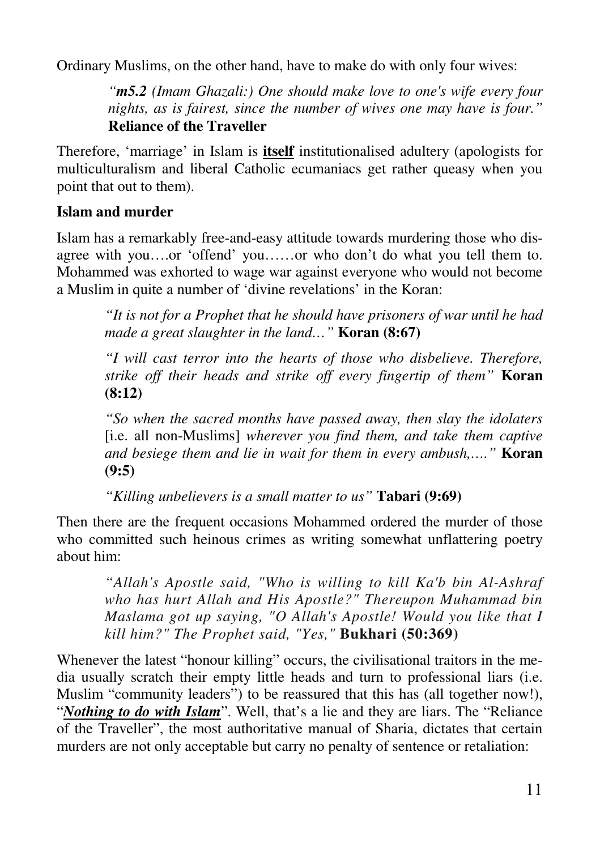Ordinary Muslims, on the other hand, have to make do with only four wives:

*"m5.2 (Imam Ghazali:) One should make love to one's wife every four nights, as is fairest, since the number of wives one may have is four."* **Reliance of the Traveller** 

Therefore, 'marriage' in Islam is **itself** institutionalised adultery (apologists for multiculturalism and liberal Catholic ecumaniacs get rather queasy when you point that out to them).

# **Islam and murder**

Islam has a remarkably free-and-easy attitude towards murdering those who disagree with you….or 'offend' you……or who don't do what you tell them to. Mohammed was exhorted to wage war against everyone who would not become a Muslim in quite a number of 'divine revelations' in the Koran:

*"It is not for a Prophet that he should have prisoners of war until he had made a great slaughter in the land…"* **Koran (8:67)** 

*"I will cast terror into the hearts of those who disbelieve. Therefore, strike off their heads and strike off every fingertip of them"* **Koran (8:12)** 

*"So when the sacred months have passed away, then slay the idolaters*  [i.e. all non-Muslims] *wherever you find them, and take them captive and besiege them and lie in wait for them in every ambush,…."* **Koran (9:5)** 

*"Killing unbelievers is a small matter to us"* **Tabari (9:69)** 

Then there are the frequent occasions Mohammed ordered the murder of those who committed such heinous crimes as writing somewhat unflattering poetry about him:

*"Allah's Apostle said, "Who is willing to kill Ka'b bin Al-Ashraf who has hurt Allah and His Apostle?" Thereupon Muhammad bin Maslama got up saying, "O Allah's Apostle! Would you like that I kill him?" The Prophet said, "Yes,"* **Bukhari (50:369)**

Whenever the latest "honour killing" occurs, the civilisational traitors in the media usually scratch their empty little heads and turn to professional liars (i.e. Muslim "community leaders") to be reassured that this has (all together now!), "*Nothing to do with Islam*". Well, that's a lie and they are liars. The "Reliance of the Traveller", the most authoritative manual of Sharia, dictates that certain murders are not only acceptable but carry no penalty of sentence or retaliation: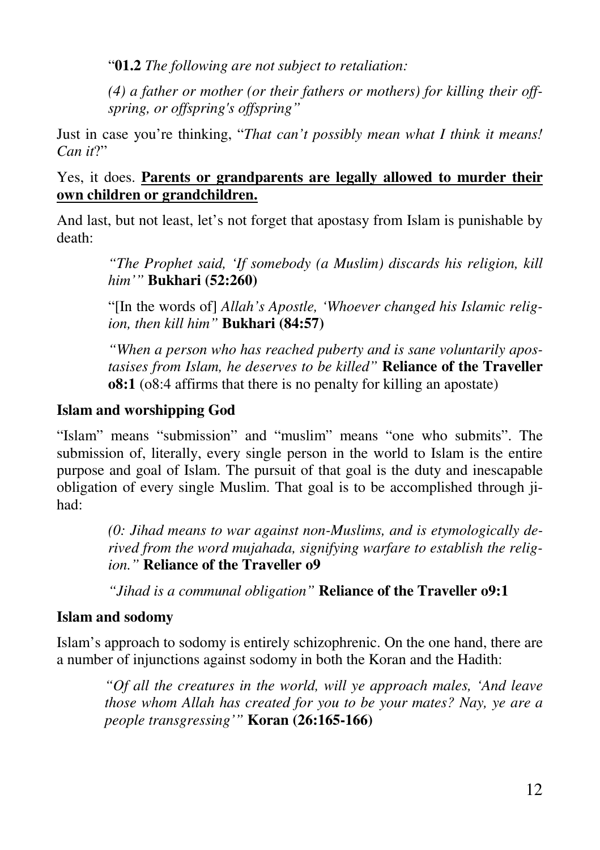"**01.2** *The following are not subject to retaliation:* 

*(4) a father or mother (or their fathers or mothers) for killing their offspring, or offspring's offspring"*

Just in case you're thinking, "*That can't possibly mean what I think it means! Can it*?"

### Yes, it does. **Parents or grandparents are legally allowed to murder their own children or grandchildren.**

And last, but not least, let's not forget that apostasy from Islam is punishable by death:

> *"The Prophet said, 'If somebody (a Muslim) discards his religion, kill him'"* **Bukhari (52:260)**

> "[In the words of] *Allah's Apostle, 'Whoever changed his Islamic religion, then kill him"* **Bukhari (84:57)**

> *"When a person who has reached puberty and is sane voluntarily apostasises from Islam, he deserves to be killed"* **Reliance of the Traveller o8:1** (o8:4 affirms that there is no penalty for killing an apostate)

# **Islam and worshipping God**

"Islam" means "submission" and "muslim" means "one who submits". The submission of, literally, every single person in the world to Islam is the entire purpose and goal of Islam. The pursuit of that goal is the duty and inescapable obligation of every single Muslim. That goal is to be accomplished through jihad:

> *(0: Jihad means to war against non-Muslims, and is etymologically derived from the word mujahada, signifying warfare to establish the religion."* **Reliance of the Traveller o9**

*"Jihad is a communal obligation"* **Reliance of the Traveller o9:1** 

## **Islam and sodomy**

Islam's approach to sodomy is entirely schizophrenic. On the one hand, there are a number of injunctions against sodomy in both the Koran and the Hadith:

*"Of all the creatures in the world, will ye approach males, 'And leave those whom Allah has created for you to be your mates? Nay, ye are a people transgressing'"* **Koran (26:165-166)**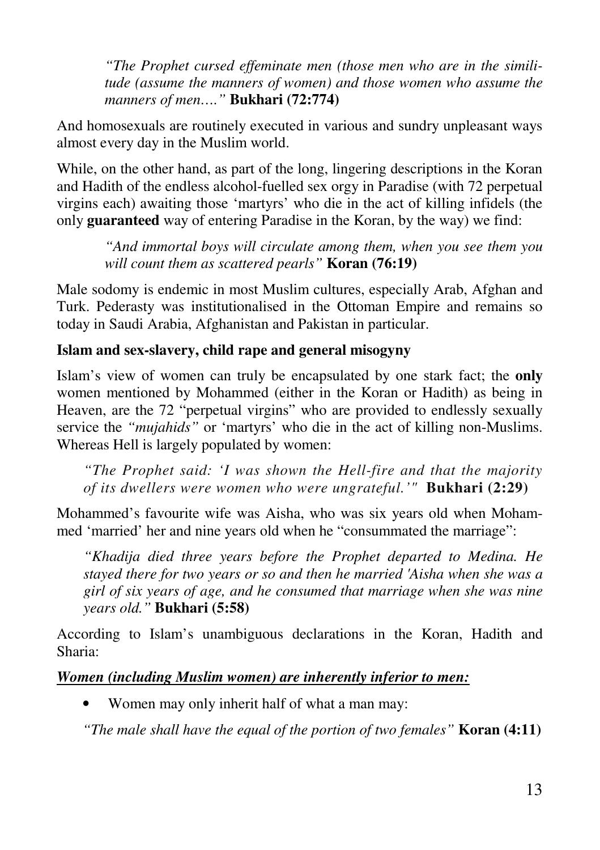*"The Prophet cursed effeminate men (those men who are in the similitude (assume the manners of women) and those women who assume the manners of men…."* **Bukhari (72:774)** 

And homosexuals are routinely executed in various and sundry unpleasant ways almost every day in the Muslim world.

While, on the other hand, as part of the long, lingering descriptions in the Koran and Hadith of the endless alcohol-fuelled sex orgy in Paradise (with 72 perpetual virgins each) awaiting those 'martyrs' who die in the act of killing infidels (the only **guaranteed** way of entering Paradise in the Koran, by the way) we find:

*"And immortal boys will circulate among them, when you see them you will count them as scattered pearls"* **Koran (76:19)** 

Male sodomy is endemic in most Muslim cultures, especially Arab, Afghan and Turk. Pederasty was institutionalised in the Ottoman Empire and remains so today in Saudi Arabia, Afghanistan and Pakistan in particular.

### **Islam and sex-slavery, child rape and general misogyny**

Islam's view of women can truly be encapsulated by one stark fact; the **only** women mentioned by Mohammed (either in the Koran or Hadith) as being in Heaven, are the 72 "perpetual virgins" who are provided to endlessly sexually service the *"mujahids"* or 'martyrs' who die in the act of killing non-Muslims. Whereas Hell is largely populated by women:

*"The Prophet said: 'I was shown the Hell-fire and that the majority of its dwellers were women who were ungrateful.'"* **Bukhari (2:29)**

Mohammed's favourite wife was Aisha, who was six years old when Mohammed 'married' her and nine years old when he "consummated the marriage":

*"Khadija died three years before the Prophet departed to Medina. He stayed there for two years or so and then he married 'Aisha when she was a girl of six years of age, and he consumed that marriage when she was nine years old."* **Bukhari (5:58)** 

According to Islam's unambiguous declarations in the Koran, Hadith and Sharia:

### *Women (including Muslim women) are inherently inferior to men:*

• Women may only inherit half of what a man may:

*"The male shall have the equal of the portion of two females"* **Koran (4:11)**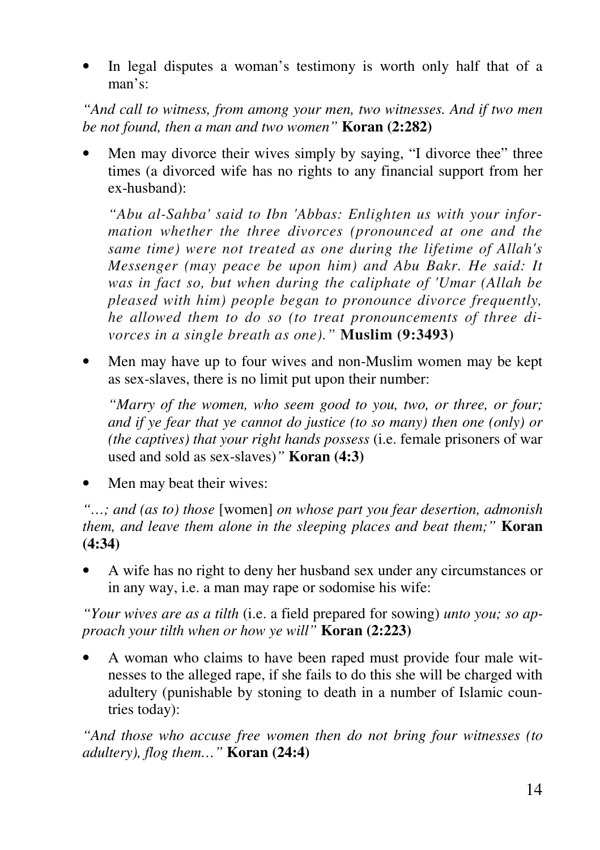In legal disputes a woman's testimony is worth only half that of a man's:

*"And call to witness, from among your men, two witnesses. And if two men be not found, then a man and two women"* **Koran (2:282)** 

Men may divorce their wives simply by saying, "I divorce thee" three times (a divorced wife has no rights to any financial support from her ex-husband):

*"Abu al-Sahba' said to Ibn 'Abbas: Enlighten us with your information whether the three divorces (pronounced at one and the same time) were not treated as one during the lifetime of Allah's Messenger (may peace be upon him) and Abu Bakr. He said: It was in fact so, but when during the caliphate of 'Umar (Allah be pleased with him) people began to pronounce divorce frequently, he allowed them to do so (to treat pronouncements of three divorces in a single breath as one)."* **Muslim (9:3493)**

• Men may have up to four wives and non-Muslim women may be kept as sex-slaves, there is no limit put upon their number:

*"Marry of the women, who seem good to you, two, or three, or four; and if ye fear that ye cannot do justice (to so many) then one (only) or (the captives) that your right hands possess* (i.e. female prisoners of war used and sold as sex-slaves)*"* **Koran (4:3)** 

• Men may beat their wives:

*"…; and (as to) those* [women] *on whose part you fear desertion, admonish them, and leave them alone in the sleeping places and beat them;"* **Koran (4:34)** 

• A wife has no right to deny her husband sex under any circumstances or in any way, i.e. a man may rape or sodomise his wife:

*"Your wives are as a tilth* (i.e. a field prepared for sowing) *unto you; so approach your tilth when or how ye will"* **Koran (2:223)** 

• A woman who claims to have been raped must provide four male witnesses to the alleged rape, if she fails to do this she will be charged with adultery (punishable by stoning to death in a number of Islamic countries today):

*"And those who accuse free women then do not bring four witnesses (to adultery), flog them…"* **Koran (24:4)**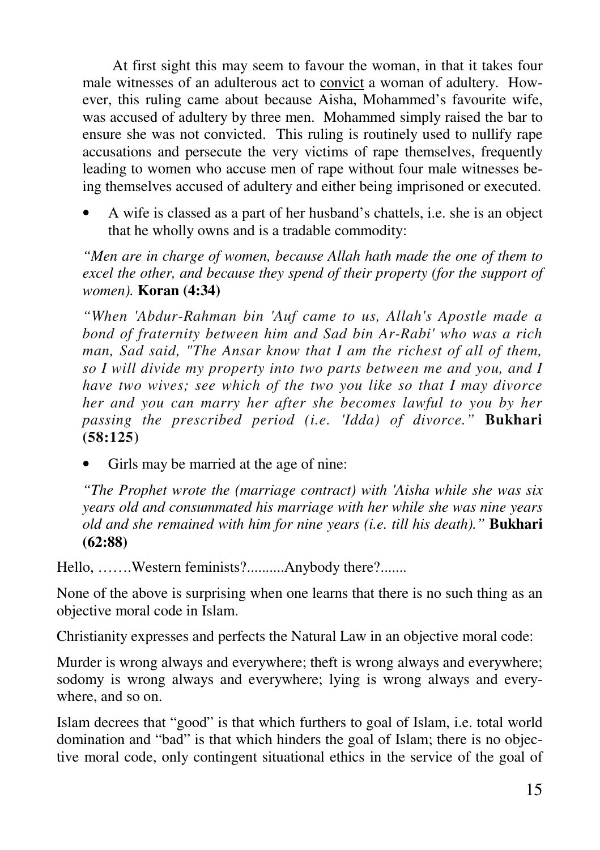At first sight this may seem to favour the woman, in that it takes four male witnesses of an adulterous act to convict a woman of adultery. However, this ruling came about because Aisha, Mohammed's favourite wife, was accused of adultery by three men. Mohammed simply raised the bar to ensure she was not convicted. This ruling is routinely used to nullify rape accusations and persecute the very victims of rape themselves, frequently leading to women who accuse men of rape without four male witnesses being themselves accused of adultery and either being imprisoned or executed.

• A wife is classed as a part of her husband's chattels, i.e. she is an object that he wholly owns and is a tradable commodity:

*"Men are in charge of women, because Allah hath made the one of them to excel the other, and because they spend of their property (for the support of women).* **Koran (4:34)** 

*"When 'Abdur-Rahman bin 'Auf came to us, Allah's Apostle made a bond of fraternity between him and Sad bin Ar-Rabi' who was a rich man, Sad said, "The Ansar know that I am the richest of all of them, so I will divide my property into two parts between me and you, and I have two wives; see which of the two you like so that I may divorce her and you can marry her after she becomes lawful to you by her passing the prescribed period (i.e. 'Idda) of divorce."* **Bukhari (58:125)** 

Girls may be married at the age of nine:

*"The Prophet wrote the (marriage contract) with 'Aisha while she was six years old and consummated his marriage with her while she was nine years old and she remained with him for nine years (i.e. till his death)."* **Bukhari (62:88)** 

Hello, …….Western feminists?..........Anybody there?.......

None of the above is surprising when one learns that there is no such thing as an objective moral code in Islam.

Christianity expresses and perfects the Natural Law in an objective moral code:

Murder is wrong always and everywhere; theft is wrong always and everywhere; sodomy is wrong always and everywhere; lying is wrong always and everywhere, and so on.

Islam decrees that "good" is that which furthers to goal of Islam, i.e. total world domination and "bad" is that which hinders the goal of Islam; there is no objective moral code, only contingent situational ethics in the service of the goal of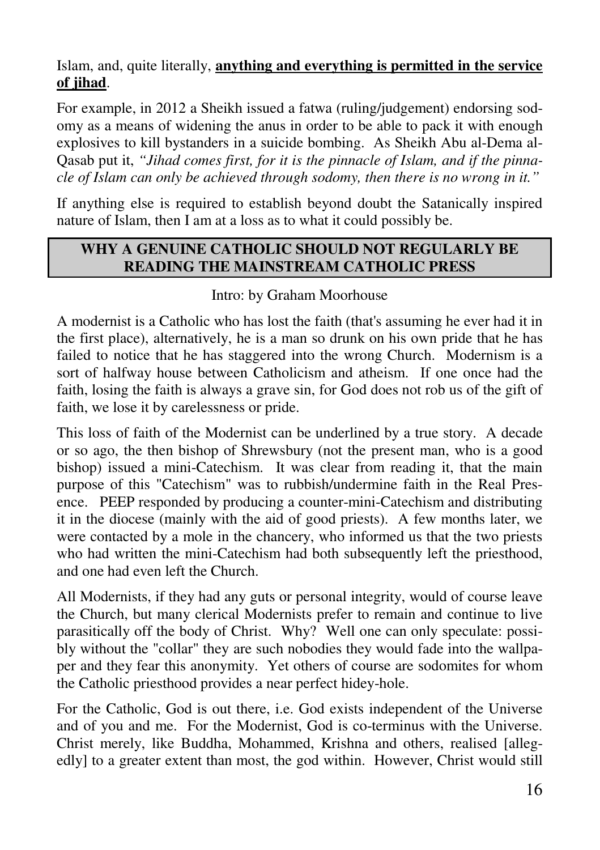### Islam, and, quite literally, **anything and everything is permitted in the service of jihad**.

For example, in 2012 a Sheikh issued a fatwa (ruling/judgement) endorsing sodomy as a means of widening the anus in order to be able to pack it with enough explosives to kill bystanders in a suicide bombing. As Sheikh Abu al-Dema al-Qasab put it, *"Jihad comes first, for it is the pinnacle of Islam, and if the pinnacle of Islam can only be achieved through sodomy, then there is no wrong in it."*

If anything else is required to establish beyond doubt the Satanically inspired nature of Islam, then I am at a loss as to what it could possibly be.

### **WHY A GENUINE CATHOLIC SHOULD NOT REGULARLY BE READING THE MAINSTREAM CATHOLIC PRESS**

#### Intro: by Graham Moorhouse

A modernist is a Catholic who has lost the faith (that's assuming he ever had it in the first place), alternatively, he is a man so drunk on his own pride that he has failed to notice that he has staggered into the wrong Church. Modernism is a sort of halfway house between Catholicism and atheism. If one once had the faith, losing the faith is always a grave sin, for God does not rob us of the gift of faith, we lose it by carelessness or pride.

This loss of faith of the Modernist can be underlined by a true story. A decade or so ago, the then bishop of Shrewsbury (not the present man, who is a good bishop) issued a mini-Catechism. It was clear from reading it, that the main purpose of this "Catechism" was to rubbish/undermine faith in the Real Presence. PEEP responded by producing a counter-mini-Catechism and distributing it in the diocese (mainly with the aid of good priests). A few months later, we were contacted by a mole in the chancery, who informed us that the two priests who had written the mini-Catechism had both subsequently left the priesthood, and one had even left the Church.

All Modernists, if they had any guts or personal integrity, would of course leave the Church, but many clerical Modernists prefer to remain and continue to live parasitically off the body of Christ. Why? Well one can only speculate: possibly without the "collar" they are such nobodies they would fade into the wallpaper and they fear this anonymity. Yet others of course are sodomites for whom the Catholic priesthood provides a near perfect hidey-hole.

For the Catholic, God is out there, i.e. God exists independent of the Universe and of you and me. For the Modernist, God is co-terminus with the Universe. Christ merely, like Buddha, Mohammed, Krishna and others, realised [allegedly] to a greater extent than most, the god within. However, Christ would still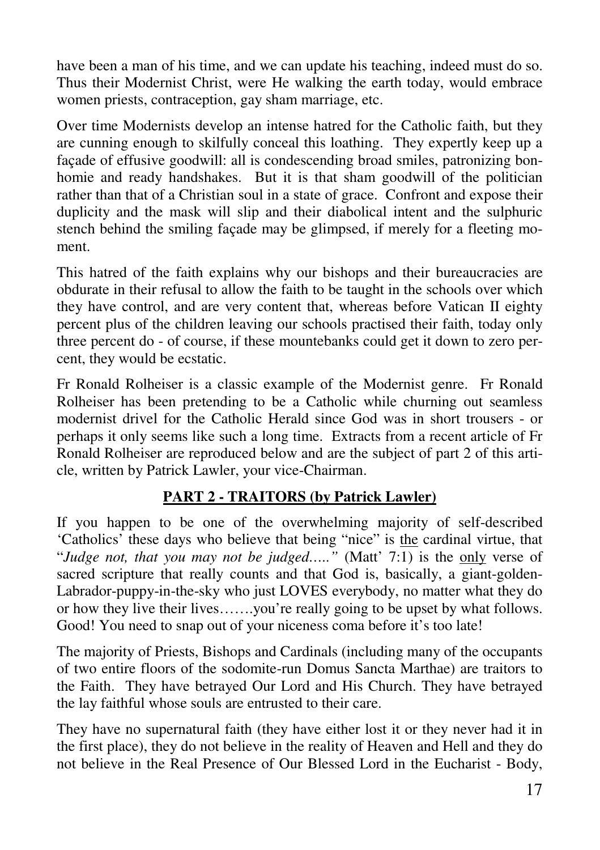have been a man of his time, and we can update his teaching, indeed must do so. Thus their Modernist Christ, were He walking the earth today, would embrace women priests, contraception, gay sham marriage, etc.

Over time Modernists develop an intense hatred for the Catholic faith, but they are cunning enough to skilfully conceal this loathing. They expertly keep up a façade of effusive goodwill: all is condescending broad smiles, patronizing bonhomie and ready handshakes. But it is that sham goodwill of the politician rather than that of a Christian soul in a state of grace. Confront and expose their duplicity and the mask will slip and their diabolical intent and the sulphuric stench behind the smiling façade may be glimpsed, if merely for a fleeting moment.

This hatred of the faith explains why our bishops and their bureaucracies are obdurate in their refusal to allow the faith to be taught in the schools over which they have control, and are very content that, whereas before Vatican II eighty percent plus of the children leaving our schools practised their faith, today only three percent do - of course, if these mountebanks could get it down to zero percent, they would be ecstatic.

Fr Ronald Rolheiser is a classic example of the Modernist genre. Fr Ronald Rolheiser has been pretending to be a Catholic while churning out seamless modernist drivel for the Catholic Herald since God was in short trousers - or perhaps it only seems like such a long time. Extracts from a recent article of Fr Ronald Rolheiser are reproduced below and are the subject of part 2 of this article, written by Patrick Lawler, your vice-Chairman.

# **PART 2 - TRAITORS (by Patrick Lawler)**

If you happen to be one of the overwhelming majority of self-described 'Catholics' these days who believe that being "nice" is the cardinal virtue, that "*Judge not, that you may not be judged.....*" (Matt' 7:1) is the only verse of sacred scripture that really counts and that God is, basically, a giant-golden-Labrador-puppy-in-the-sky who just LOVES everybody, no matter what they do or how they live their lives…….you're really going to be upset by what follows. Good! You need to snap out of your niceness coma before it's too late!

The majority of Priests, Bishops and Cardinals (including many of the occupants of two entire floors of the sodomite-run Domus Sancta Marthae) are traitors to the Faith. They have betrayed Our Lord and His Church. They have betrayed the lay faithful whose souls are entrusted to their care.

They have no supernatural faith (they have either lost it or they never had it in the first place), they do not believe in the reality of Heaven and Hell and they do not believe in the Real Presence of Our Blessed Lord in the Eucharist - Body,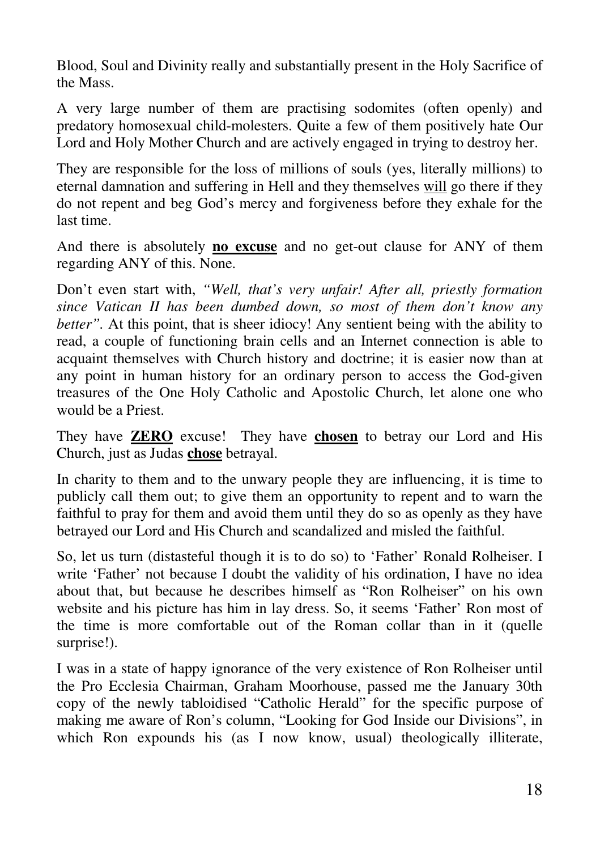Blood, Soul and Divinity really and substantially present in the Holy Sacrifice of the Mass.

A very large number of them are practising sodomites (often openly) and predatory homosexual child-molesters. Quite a few of them positively hate Our Lord and Holy Mother Church and are actively engaged in trying to destroy her.

They are responsible for the loss of millions of souls (yes, literally millions) to eternal damnation and suffering in Hell and they themselves will go there if they do not repent and beg God's mercy and forgiveness before they exhale for the last time.

And there is absolutely **no excuse** and no get-out clause for ANY of them regarding ANY of this. None.

Don't even start with, *"Well, that's very unfair! After all, priestly formation since Vatican II has been dumbed down, so most of them don't know any better"*. At this point, that is sheer idiocy! Any sentient being with the ability to read, a couple of functioning brain cells and an Internet connection is able to acquaint themselves with Church history and doctrine; it is easier now than at any point in human history for an ordinary person to access the God-given treasures of the One Holy Catholic and Apostolic Church, let alone one who would be a Priest.

They have **ZERO** excuse! They have **chosen** to betray our Lord and His Church, just as Judas **chose** betrayal.

In charity to them and to the unwary people they are influencing, it is time to publicly call them out; to give them an opportunity to repent and to warn the faithful to pray for them and avoid them until they do so as openly as they have betrayed our Lord and His Church and scandalized and misled the faithful.

So, let us turn (distasteful though it is to do so) to 'Father' Ronald Rolheiser. I write 'Father' not because I doubt the validity of his ordination, I have no idea about that, but because he describes himself as "Ron Rolheiser" on his own website and his picture has him in lay dress. So, it seems 'Father' Ron most of the time is more comfortable out of the Roman collar than in it (quelle surprise!).

I was in a state of happy ignorance of the very existence of Ron Rolheiser until the Pro Ecclesia Chairman, Graham Moorhouse, passed me the January 30th copy of the newly tabloidised "Catholic Herald" for the specific purpose of making me aware of Ron's column, "Looking for God Inside our Divisions", in which Ron expounds his (as I now know, usual) theologically illiterate,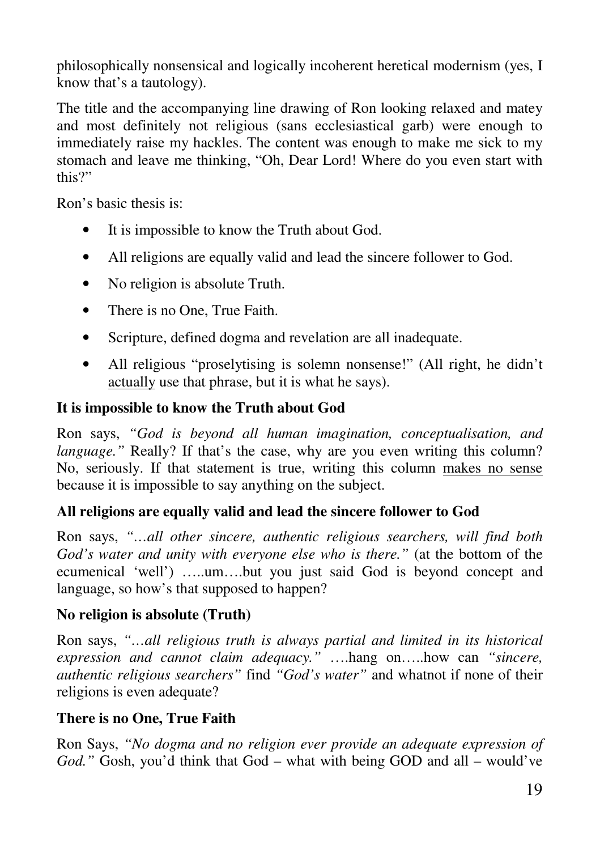philosophically nonsensical and logically incoherent heretical modernism (yes, I know that's a tautology).

The title and the accompanying line drawing of Ron looking relaxed and matey and most definitely not religious (sans ecclesiastical garb) were enough to immediately raise my hackles. The content was enough to make me sick to my stomach and leave me thinking, "Oh, Dear Lord! Where do you even start with this?"

Ron's basic thesis is:

- It is impossible to know the Truth about God.
- All religions are equally valid and lead the sincere follower to God.
- No religion is absolute Truth.
- There is no One, True Faith.
- Scripture, defined dogma and revelation are all inadequate.
- All religious "proselytising is solemn nonsense!" (All right, he didn't actually use that phrase, but it is what he says).

# **It is impossible to know the Truth about God**

Ron says, *"God is beyond all human imagination, conceptualisation, and language.*" Really? If that's the case, why are you even writing this column? No, seriously. If that statement is true, writing this column makes no sense because it is impossible to say anything on the subject.

# **All religions are equally valid and lead the sincere follower to God**

Ron says, *"…all other sincere, authentic religious searchers, will find both God's water and unity with everyone else who is there."* (at the bottom of the ecumenical 'well') …..um….but you just said God is beyond concept and language, so how's that supposed to happen?

# **No religion is absolute (Truth)**

Ron says, *"…all religious truth is always partial and limited in its historical expression and cannot claim adequacy."* ….hang on…..how can *"sincere, authentic religious searchers"* find *"God's water"* and whatnot if none of their religions is even adequate?

# **There is no One, True Faith**

Ron Says, *"No dogma and no religion ever provide an adequate expression of God."* Gosh, you'd think that God – what with being GOD and all – would've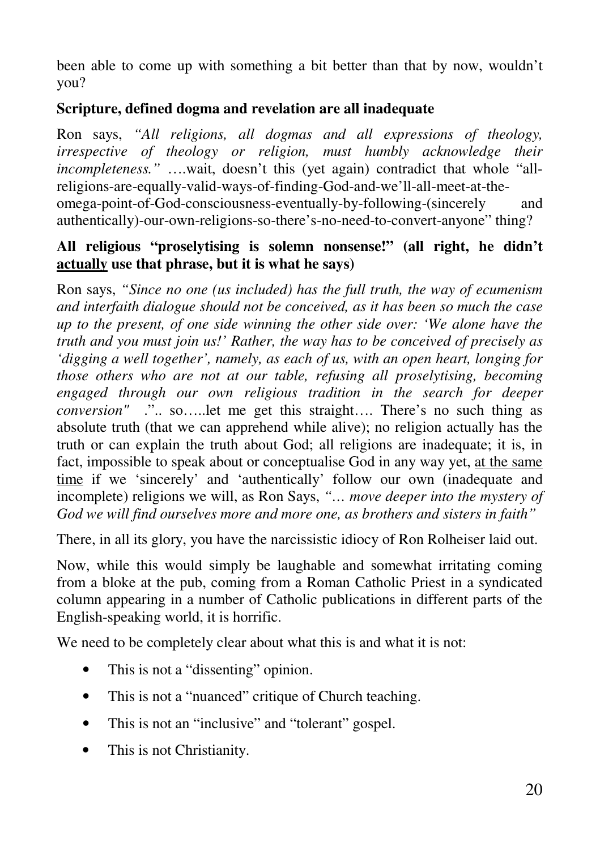been able to come up with something a bit better than that by now, wouldn't you?

### **Scripture, defined dogma and revelation are all inadequate**

Ron says, *"All religions, all dogmas and all expressions of theology, irrespective of theology or religion, must humbly acknowledge their incompleteness."* ….wait, doesn't this (yet again) contradict that whole "allreligions-are-equally-valid-ways-of-finding-God-and-we'll-all-meet-at-theomega-point-of-God-consciousness-eventually-by-following-(sincerely and authentically)-our-own-religions-so-there's-no-need-to-convert-anyone" thing?

### **All religious "proselytising is solemn nonsense!" (all right, he didn't actually use that phrase, but it is what he says)**

Ron says, *"Since no one (us included) has the full truth, the way of ecumenism and interfaith dialogue should not be conceived, as it has been so much the case up to the present, of one side winning the other side over: 'We alone have the truth and you must join us!' Rather, the way has to be conceived of precisely as 'digging a well together', namely, as each of us, with an open heart, longing for those others who are not at our table, refusing all proselytising, becoming engaged through our own religious tradition in the search for deeper conversion"* .".. so…..let me get this straight…. There's no such thing as absolute truth (that we can apprehend while alive); no religion actually has the truth or can explain the truth about God; all religions are inadequate; it is, in fact, impossible to speak about or conceptualise God in any way yet, at the same time if we 'sincerely' and 'authentically' follow our own (inadequate and incomplete) religions we will, as Ron Says, *"… move deeper into the mystery of God we will find ourselves more and more one, as brothers and sisters in faith"*

There, in all its glory, you have the narcissistic idiocy of Ron Rolheiser laid out.

Now, while this would simply be laughable and somewhat irritating coming from a bloke at the pub, coming from a Roman Catholic Priest in a syndicated column appearing in a number of Catholic publications in different parts of the English-speaking world, it is horrific.

We need to be completely clear about what this is and what it is not:

- This is not a "dissenting" opinion.
- This is not a "nuanced" critique of Church teaching.
- This is not an "inclusive" and "tolerant" gospel.
- This is not Christianity.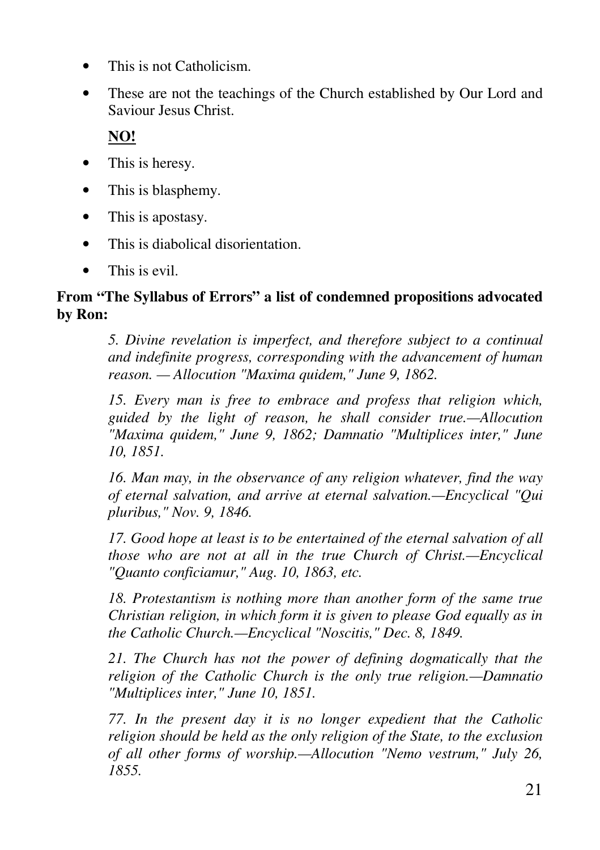- This is not Catholicism.
- These are not the teachings of the Church established by Our Lord and Saviour Jesus Christ.

**NO!**

- This is heresy.
- This is blasphemy.
- This is apostasy.
- This is diabolical disorientation.
- This is evil.

### **From "The Syllabus of Errors" a list of condemned propositions advocated by Ron:**

*5. Divine revelation is imperfect, and therefore subject to a continual and indefinite progress, corresponding with the advancement of human reason. — Allocution "Maxima quidem," June 9, 1862.*

*15. Every man is free to embrace and profess that religion which, guided by the light of reason, he shall consider true.—Allocution "Maxima quidem," June 9, 1862; Damnatio "Multiplices inter," June 10, 1851.* 

*16. Man may, in the observance of any religion whatever, find the way of eternal salvation, and arrive at eternal salvation.—Encyclical "Qui pluribus," Nov. 9, 1846.* 

*17. Good hope at least is to be entertained of the eternal salvation of all those who are not at all in the true Church of Christ.—Encyclical "Quanto conficiamur," Aug. 10, 1863, etc.* 

*18. Protestantism is nothing more than another form of the same true Christian religion, in which form it is given to please God equally as in the Catholic Church.—Encyclical "Noscitis," Dec. 8, 1849.* 

*21. The Church has not the power of defining dogmatically that the religion of the Catholic Church is the only true religion.—Damnatio "Multiplices inter," June 10, 1851.* 

*77. In the present day it is no longer expedient that the Catholic religion should be held as the only religion of the State, to the exclusion of all other forms of worship.—Allocution "Nemo vestrum," July 26, 1855.*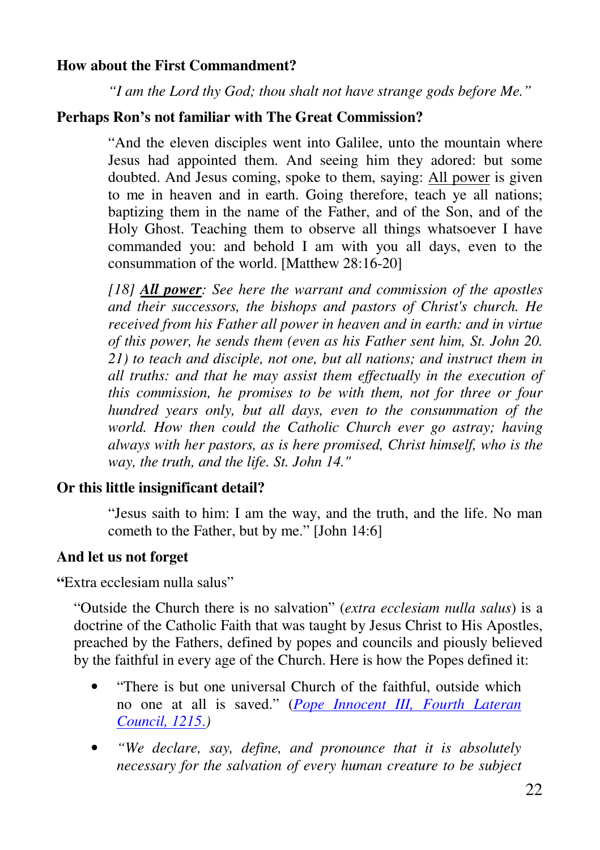### **How about the First Commandment?**

*"I am the Lord thy God; thou shalt not have strange gods before Me."*

#### **Perhaps Ron's not familiar with The Great Commission?**

"And the eleven disciples went into Galilee, unto the mountain where Jesus had appointed them. And seeing him they adored: but some doubted. And Jesus coming, spoke to them, saying: All power is given to me in heaven and in earth. Going therefore, teach ye all nations; baptizing them in the name of the Father, and of the Son, and of the Holy Ghost. Teaching them to observe all things whatsoever I have commanded you: and behold I am with you all days, even to the consummation of the world. [Matthew 28:16-20]

*[18] All power: See here the warrant and commission of the apostles and their successors, the bishops and pastors of Christ's church. He received from his Father all power in heaven and in earth: and in virtue of this power, he sends them (even as his Father sent him, St. John 20. 21) to teach and disciple, not one, but all nations; and instruct them in all truths: and that he may assist them effectually in the execution of this commission, he promises to be with them, not for three or four hundred years only, but all days, even to the consummation of the world. How then could the Catholic Church ever go astray; having always with her pastors, as is here promised, Christ himself, who is the way, the truth, and the life. St. John 14."* 

# **Or this little insignificant detail?**

"Jesus saith to him: I am the way, and the truth, and the life. No man cometh to the Father, but by me." [John 14:6]

#### **And let us not forget**

**"**Extra ecclesiam nulla salus"

"Outside the Church there is no salvation" (*extra ecclesiam nulla salus*) is a doctrine of the Catholic Faith that was taught by Jesus Christ to His Apostles, preached by the Fathers, defined by popes and councils and piously believed by the faithful in every age of the Church. Here is how the Popes defined it:

- "There is but one universal Church of the faithful, outside which no one at all is saved." (*Pope Innocent III, Fourth Lateran Council, 1215*.*)*
- *"We declare, say, define, and pronounce that it is absolutely necessary for the salvation of every human creature to be subject*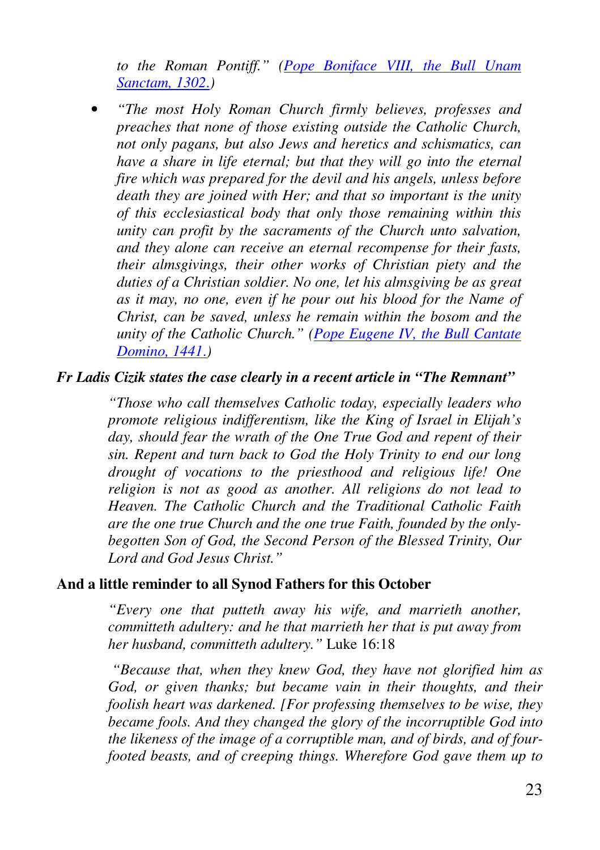*to the Roman Pontiff." (Pope Boniface VIII, the Bull Unam Sanctam, 1302*.*)* 

• *"The most Holy Roman Church firmly believes, professes and preaches that none of those existing outside the Catholic Church, not only pagans, but also Jews and heretics and schismatics, can have a share in life eternal; but that they will go into the eternal fire which was prepared for the devil and his angels, unless before death they are joined with Her; and that so important is the unity of this ecclesiastical body that only those remaining within this unity can profit by the sacraments of the Church unto salvation, and they alone can receive an eternal recompense for their fasts, their almsgivings, their other works of Christian piety and the duties of a Christian soldier. No one, let his almsgiving be as great as it may, no one, even if he pour out his blood for the Name of Christ, can be saved, unless he remain within the bosom and the unity of the Catholic Church." (Pope Eugene IV, the Bull Cantate Domino, 1441*.*)* 

#### *Fr Ladis Cizik states the case clearly in a recent article in "The Remnant"*

*"Those who call themselves Catholic today, especially leaders who promote religious indifferentism, like the King of Israel in Elijah's day, should fear the wrath of the One True God and repent of their sin. Repent and turn back to God the Holy Trinity to end our long drought of vocations to the priesthood and religious life! One religion is not as good as another. All religions do not lead to Heaven. The Catholic Church and the Traditional Catholic Faith are the one true Church and the one true Faith, founded by the onlybegotten Son of God, the Second Person of the Blessed Trinity, Our Lord and God Jesus Christ."*

#### **And a little reminder to all Synod Fathers for this October**

*"Every one that putteth away his wife, and marrieth another, committeth adultery: and he that marrieth her that is put away from her husband, committeth adultery."* Luke 16:18

 *"Because that, when they knew God, they have not glorified him as God, or given thanks; but became vain in their thoughts, and their foolish heart was darkened. [For professing themselves to be wise, they became fools. And they changed the glory of the incorruptible God into the likeness of the image of a corruptible man, and of birds, and of fourfooted beasts, and of creeping things. Wherefore God gave them up to*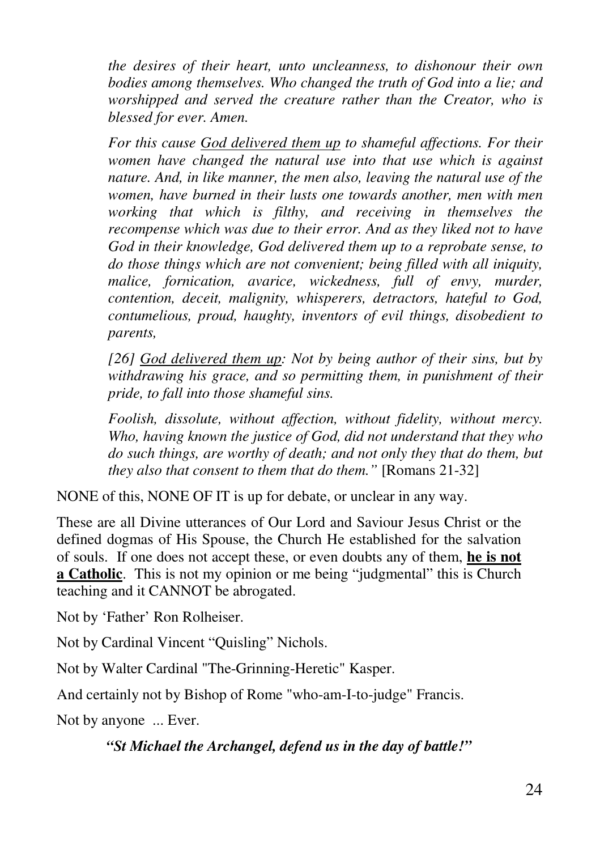*the desires of their heart, unto uncleanness, to dishonour their own bodies among themselves. Who changed the truth of God into a lie; and worshipped and served the creature rather than the Creator, who is blessed for ever. Amen.* 

*For this cause God delivered them up to shameful affections. For their women have changed the natural use into that use which is against nature. And, in like manner, the men also, leaving the natural use of the women, have burned in their lusts one towards another, men with men working that which is filthy, and receiving in themselves the recompense which was due to their error. And as they liked not to have God in their knowledge, God delivered them up to a reprobate sense, to do those things which are not convenient; being filled with all iniquity, malice, fornication, avarice, wickedness, full of envy, murder, contention, deceit, malignity, whisperers, detractors, hateful to God, contumelious, proud, haughty, inventors of evil things, disobedient to parents,* 

*[26] God delivered them up: Not by being author of their sins, but by withdrawing his grace, and so permitting them, in punishment of their pride, to fall into those shameful sins.* 

*Foolish, dissolute, without affection, without fidelity, without mercy. Who, having known the justice of God, did not understand that they who do such things, are worthy of death; and not only they that do them, but they also that consent to them that do them."* [Romans 21-32]

NONE of this, NONE OF IT is up for debate, or unclear in any way.

These are all Divine utterances of Our Lord and Saviour Jesus Christ or the defined dogmas of His Spouse, the Church He established for the salvation of souls. If one does not accept these, or even doubts any of them, **he is not a Catholic**. This is not my opinion or me being "judgmental" this is Church teaching and it CANNOT be abrogated.

Not by 'Father' Ron Rolheiser.

Not by Cardinal Vincent "Quisling" Nichols.

Not by Walter Cardinal "The-Grinning-Heretic" Kasper.

And certainly not by Bishop of Rome "who-am-I-to-judge" Francis.

Not by anyone ... Ever.

*"St Michael the Archangel, defend us in the day of battle!"*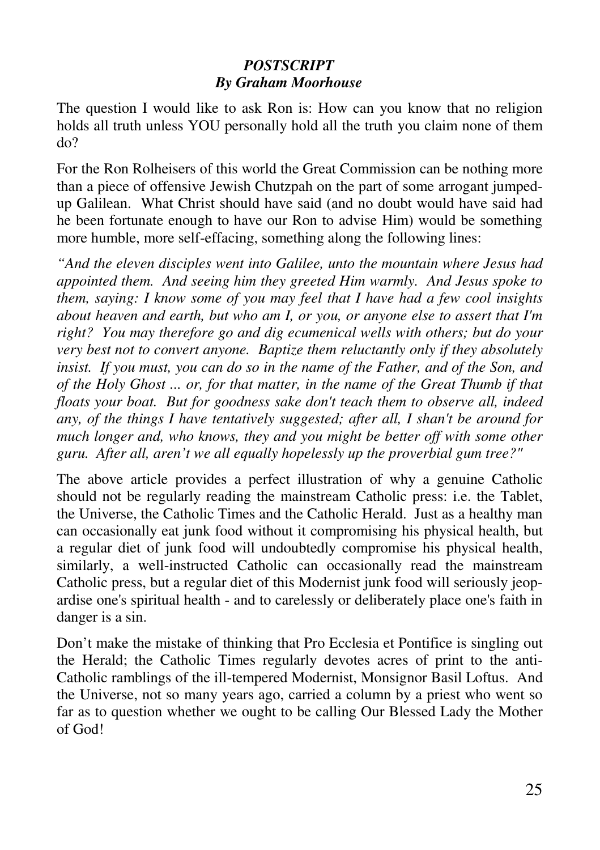### *POSTSCRIPT By Graham Moorhouse*

The question I would like to ask Ron is: How can you know that no religion holds all truth unless YOU personally hold all the truth you claim none of them do?

For the Ron Rolheisers of this world the Great Commission can be nothing more than a piece of offensive Jewish Chutzpah on the part of some arrogant jumpedup Galilean. What Christ should have said (and no doubt would have said had he been fortunate enough to have our Ron to advise Him) would be something more humble, more self-effacing, something along the following lines:

*"And the eleven disciples went into Galilee, unto the mountain where Jesus had appointed them. And seeing him they greeted Him warmly. And Jesus spoke to them, saying: I know some of you may feel that I have had a few cool insights about heaven and earth, but who am I, or you, or anyone else to assert that I'm right? You may therefore go and dig ecumenical wells with others; but do your very best not to convert anyone. Baptize them reluctantly only if they absolutely insist. If you must, you can do so in the name of the Father, and of the Son, and of the Holy Ghost ... or, for that matter, in the name of the Great Thumb if that floats your boat. But for goodness sake don't teach them to observe all, indeed any, of the things I have tentatively suggested; after all, I shan't be around for much longer and, who knows, they and you might be better off with some other guru. After all, aren't we all equally hopelessly up the proverbial gum tree?"*

The above article provides a perfect illustration of why a genuine Catholic should not be regularly reading the mainstream Catholic press: i.e. the Tablet, the Universe, the Catholic Times and the Catholic Herald. Just as a healthy man can occasionally eat junk food without it compromising his physical health, but a regular diet of junk food will undoubtedly compromise his physical health, similarly, a well-instructed Catholic can occasionally read the mainstream Catholic press, but a regular diet of this Modernist junk food will seriously jeopardise one's spiritual health - and to carelessly or deliberately place one's faith in danger is a sin.

Don't make the mistake of thinking that Pro Ecclesia et Pontifice is singling out the Herald; the Catholic Times regularly devotes acres of print to the anti-Catholic ramblings of the ill-tempered Modernist, Monsignor Basil Loftus. And the Universe, not so many years ago, carried a column by a priest who went so far as to question whether we ought to be calling Our Blessed Lady the Mother of God!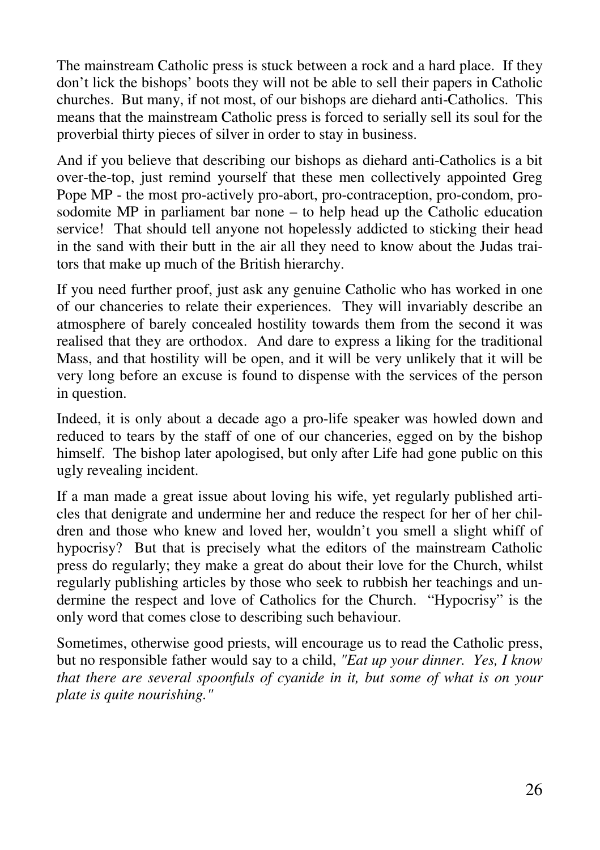The mainstream Catholic press is stuck between a rock and a hard place. If they don't lick the bishops' boots they will not be able to sell their papers in Catholic churches. But many, if not most, of our bishops are diehard anti-Catholics. This means that the mainstream Catholic press is forced to serially sell its soul for the proverbial thirty pieces of silver in order to stay in business.

And if you believe that describing our bishops as diehard anti-Catholics is a bit over-the-top, just remind yourself that these men collectively appointed Greg Pope MP - the most pro-actively pro-abort, pro-contraception, pro-condom, prosodomite MP in parliament bar none – to help head up the Catholic education service! That should tell anyone not hopelessly addicted to sticking their head in the sand with their butt in the air all they need to know about the Judas traitors that make up much of the British hierarchy.

If you need further proof, just ask any genuine Catholic who has worked in one of our chanceries to relate their experiences. They will invariably describe an atmosphere of barely concealed hostility towards them from the second it was realised that they are orthodox. And dare to express a liking for the traditional Mass, and that hostility will be open, and it will be very unlikely that it will be very long before an excuse is found to dispense with the services of the person in question.

Indeed, it is only about a decade ago a pro-life speaker was howled down and reduced to tears by the staff of one of our chanceries, egged on by the bishop himself. The bishop later apologised, but only after Life had gone public on this ugly revealing incident.

If a man made a great issue about loving his wife, yet regularly published articles that denigrate and undermine her and reduce the respect for her of her children and those who knew and loved her, wouldn't you smell a slight whiff of hypocrisy? But that is precisely what the editors of the mainstream Catholic press do regularly; they make a great do about their love for the Church, whilst regularly publishing articles by those who seek to rubbish her teachings and undermine the respect and love of Catholics for the Church. "Hypocrisy" is the only word that comes close to describing such behaviour.

Sometimes, otherwise good priests, will encourage us to read the Catholic press, but no responsible father would say to a child, *"Eat up your dinner. Yes, I know that there are several spoonfuls of cyanide in it, but some of what is on your plate is quite nourishing."*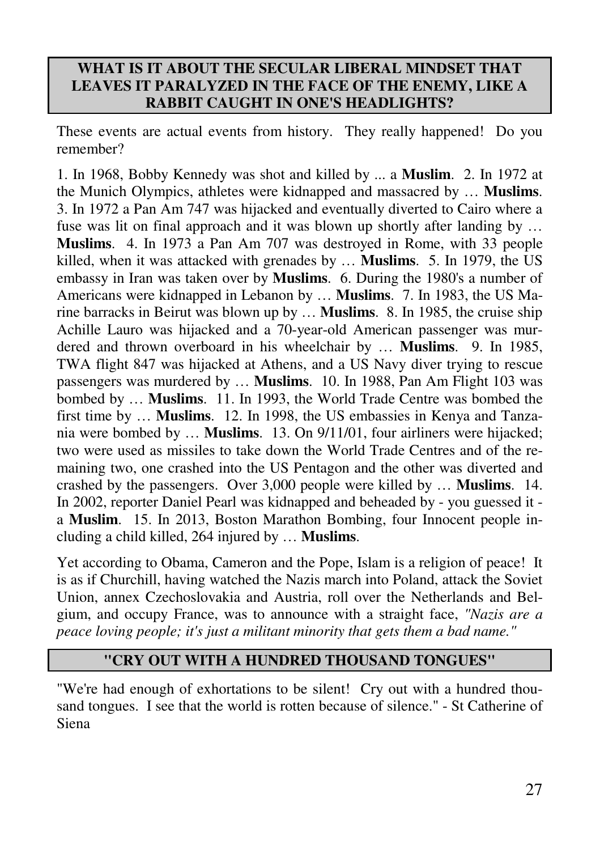#### **WHAT IS IT ABOUT THE SECULAR LIBERAL MINDSET THAT LEAVES IT PARALYZED IN THE FACE OF THE ENEMY, LIKE A RABBIT CAUGHT IN ONE'S HEADLIGHTS?**

These events are actual events from history. They really happened! Do you remember?

1. In 1968, Bobby Kennedy was shot and killed by ... a **Muslim**. 2. In 1972 at the Munich Olympics, athletes were kidnapped and massacred by … **Muslims**. 3. In 1972 a Pan Am 747 was hijacked and eventually diverted to Cairo where a fuse was lit on final approach and it was blown up shortly after landing by … **Muslims**. 4. In 1973 a Pan Am 707 was destroyed in Rome, with 33 people killed, when it was attacked with grenades by … **Muslims**. 5. In 1979, the US embassy in Iran was taken over by **Muslims**. 6. During the 1980's a number of Americans were kidnapped in Lebanon by … **Muslims**. 7. In 1983, the US Marine barracks in Beirut was blown up by … **Muslims**. 8. In 1985, the cruise ship Achille Lauro was hijacked and a 70-year-old American passenger was murdered and thrown overboard in his wheelchair by … **Muslims**. 9. In 1985, TWA flight 847 was hijacked at Athens, and a US Navy diver trying to rescue passengers was murdered by … **Muslims**. 10. In 1988, Pan Am Flight 103 was bombed by … **Muslims**. 11. In 1993, the World Trade Centre was bombed the first time by … **Muslims**. 12. In 1998, the US embassies in Kenya and Tanzania were bombed by … **Muslims**. 13. On 9/11/01, four airliners were hijacked; two were used as missiles to take down the World Trade Centres and of the remaining two, one crashed into the US Pentagon and the other was diverted and crashed by the passengers. Over 3,000 people were killed by … **Muslims**. 14. In 2002, reporter Daniel Pearl was kidnapped and beheaded by - you guessed it a **Muslim**. 15. In 2013, Boston Marathon Bombing, four Innocent people including a child killed, 264 injured by … **Muslims**.

Yet according to Obama, Cameron and the Pope, Islam is a religion of peace! It is as if Churchill, having watched the Nazis march into Poland, attack the Soviet Union, annex Czechoslovakia and Austria, roll over the Netherlands and Belgium, and occupy France, was to announce with a straight face, *"Nazis are a peace loving people; it's just a militant minority that gets them a bad name."* 

### **"CRY OUT WITH A HUNDRED THOUSAND TONGUES"**

"We're had enough of exhortations to be silent! Cry out with a hundred thousand tongues. I see that the world is rotten because of silence." - St Catherine of Siena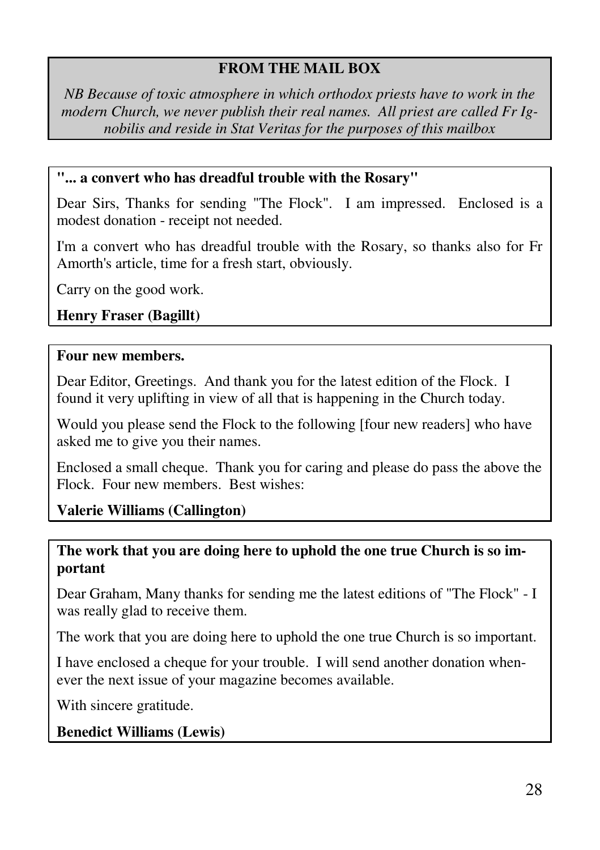### **FROM THE MAIL BOX**

*NB Because of toxic atmosphere in which orthodox priests have to work in the modern Church, we never publish their real names. All priest are called Fr Ignobilis and reside in Stat Veritas for the purposes of this mailbox* 

#### **"... a convert who has dreadful trouble with the Rosary"**

Dear Sirs, Thanks for sending "The Flock". I am impressed. Enclosed is a modest donation - receipt not needed.

I'm a convert who has dreadful trouble with the Rosary, so thanks also for Fr Amorth's article, time for a fresh start, obviously.

Carry on the good work.

**Henry Fraser (Bagillt)** 

#### **Four new members.**

Dear Editor, Greetings. And thank you for the latest edition of the Flock. I found it very uplifting in view of all that is happening in the Church today.

Would you please send the Flock to the following [four new readers] who have asked me to give you their names.

Enclosed a small cheque. Thank you for caring and please do pass the above the Flock. Four new members. Best wishes:

### **Valerie Williams (Callington)**

#### **The work that you are doing here to uphold the one true Church is so important**

Dear Graham, Many thanks for sending me the latest editions of "The Flock" - I was really glad to receive them.

The work that you are doing here to uphold the one true Church is so important.

I have enclosed a cheque for your trouble. I will send another donation whenever the next issue of your magazine becomes available.

With sincere gratitude.

**Benedict Williams (Lewis)**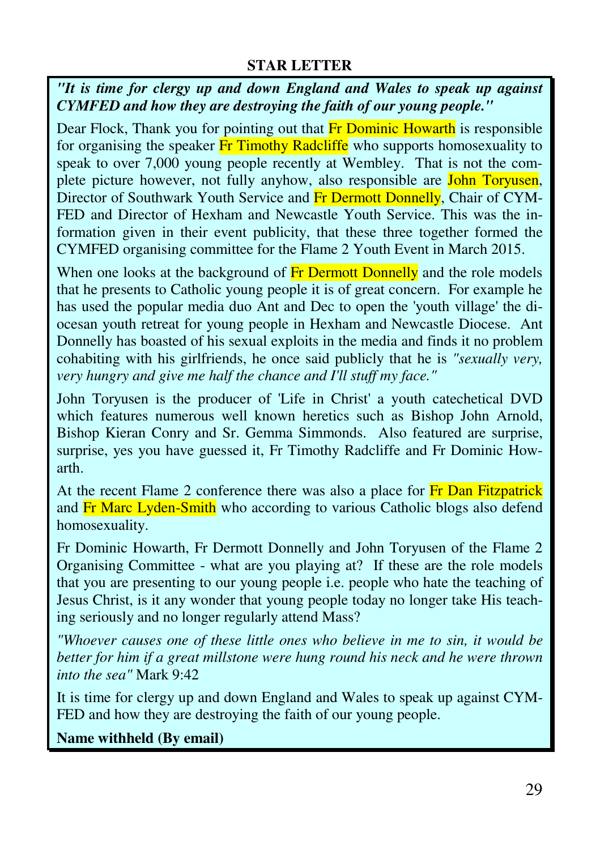#### **STAR LETTER**

*"It is time for clergy up and down England and Wales to speak up against CYMFED and how they are destroying the faith of our young people."* 

Dear Flock, Thank you for pointing out that **Fr Dominic Howarth** is responsible for organising the speaker Fr Timothy Radcliffe who supports homosexuality to speak to over 7,000 young people recently at Wembley. That is not the complete picture however, not fully anyhow, also responsible are John Toryusen, Director of Southwark Youth Service and Fr Dermott Donnelly, Chair of CYM-FED and Director of Hexham and Newcastle Youth Service. This was the information given in their event publicity, that these three together formed the CYMFED organising committee for the Flame 2 Youth Event in March 2015.

When one looks at the background of Fr Dermott Donnelly and the role models that he presents to Catholic young people it is of great concern. For example he has used the popular media duo Ant and Dec to open the 'youth village' the diocesan youth retreat for young people in Hexham and Newcastle Diocese. Ant Donnelly has boasted of his sexual exploits in the media and finds it no problem cohabiting with his girlfriends, he once said publicly that he is *"sexually very, very hungry and give me half the chance and I'll stuff my face."* 

John Toryusen is the producer of 'Life in Christ' a youth catechetical DVD which features numerous well known heretics such as Bishop John Arnold, Bishop Kieran Conry and Sr. Gemma Simmonds. Also featured are surprise, surprise, yes you have guessed it, Fr Timothy Radcliffe and Fr Dominic Howarth.

At the recent Flame 2 conference there was also a place for Fr Dan Fitzpatrick and Fr Marc Lyden-Smith who according to various Catholic blogs also defend homosexuality.

Fr Dominic Howarth, Fr Dermott Donnelly and John Toryusen of the Flame 2 Organising Committee - what are you playing at? If these are the role models that you are presenting to our young people i.e. people who hate the teaching of Jesus Christ, is it any wonder that young people today no longer take His teaching seriously and no longer regularly attend Mass?

*"Whoever causes one of these little ones who believe in me to sin, it would be better for him if a great millstone were hung round his neck and he were thrown into the sea"* Mark 9:42

It is time for clergy up and down England and Wales to speak up against CYM-FED and how they are destroying the faith of our young people.

**Name withheld (By email)**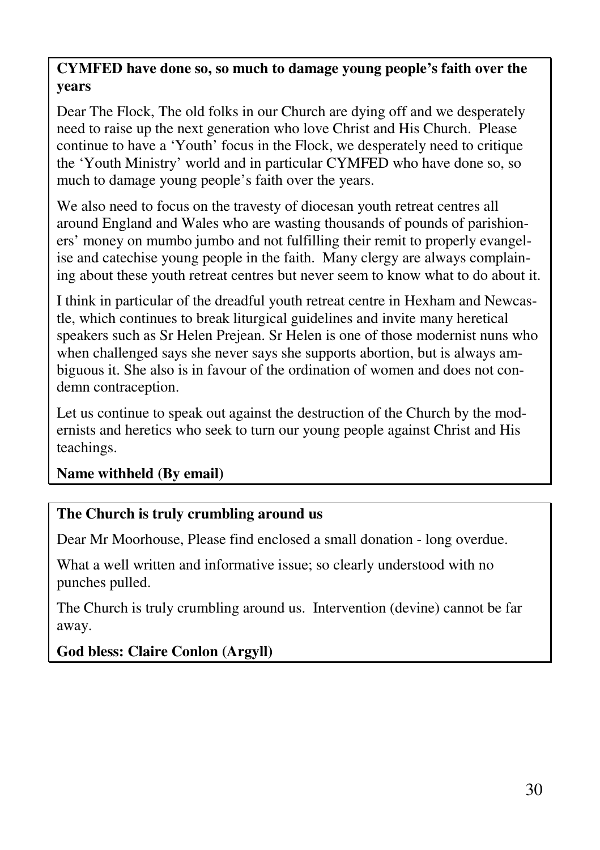### **CYMFED have done so, so much to damage young people's faith over the years**

Dear The Flock, The old folks in our Church are dying off and we desperately need to raise up the next generation who love Christ and His Church. Please continue to have a 'Youth' focus in the Flock, we desperately need to critique the 'Youth Ministry' world and in particular CYMFED who have done so, so much to damage young people's faith over the years.

We also need to focus on the travesty of diocesan youth retreat centres all around England and Wales who are wasting thousands of pounds of parishioners' money on mumbo jumbo and not fulfilling their remit to properly evangelise and catechise young people in the faith. Many clergy are always complaining about these youth retreat centres but never seem to know what to do about it.

I think in particular of the dreadful youth retreat centre in Hexham and Newcastle, which continues to break liturgical guidelines and invite many heretical speakers such as Sr Helen Prejean. Sr Helen is one of those modernist nuns who when challenged says she never says she supports abortion, but is always ambiguous it. She also is in favour of the ordination of women and does not condemn contraception.

Let us continue to speak out against the destruction of the Church by the modernists and heretics who seek to turn our young people against Christ and His teachings.

### **Name withheld (By email)**

### **The Church is truly crumbling around us**

Dear Mr Moorhouse, Please find enclosed a small donation - long overdue.

What a well written and informative issue; so clearly understood with no punches pulled.

The Church is truly crumbling around us. Intervention (devine) cannot be far away.

## **God bless: Claire Conlon (Argyll)**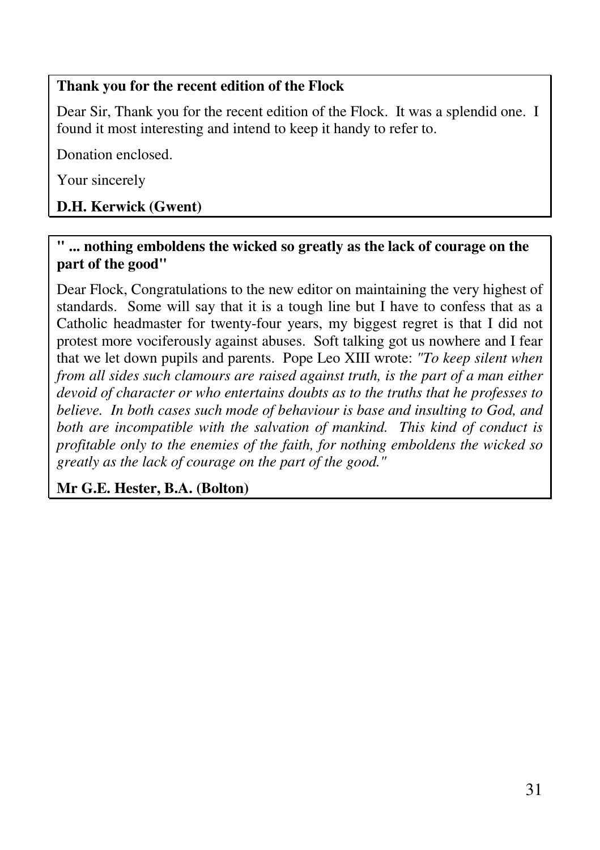### **Thank you for the recent edition of the Flock**

Dear Sir, Thank you for the recent edition of the Flock. It was a splendid one. I found it most interesting and intend to keep it handy to refer to.

Donation enclosed.

Your sincerely

# **D.H. Kerwick (Gwent)**

#### **" ... nothing emboldens the wicked so greatly as the lack of courage on the part of the good"**

Dear Flock, Congratulations to the new editor on maintaining the very highest of standards. Some will say that it is a tough line but I have to confess that as a Catholic headmaster for twenty-four years, my biggest regret is that I did not protest more vociferously against abuses. Soft talking got us nowhere and I fear that we let down pupils and parents. Pope Leo XIII wrote: *"To keep silent when from all sides such clamours are raised against truth, is the part of a man either devoid of character or who entertains doubts as to the truths that he professes to believe. In both cases such mode of behaviour is base and insulting to God, and both are incompatible with the salvation of mankind. This kind of conduct is profitable only to the enemies of the faith, for nothing emboldens the wicked so greatly as the lack of courage on the part of the good."* 

**Mr G.E. Hester, B.A. (Bolton)**